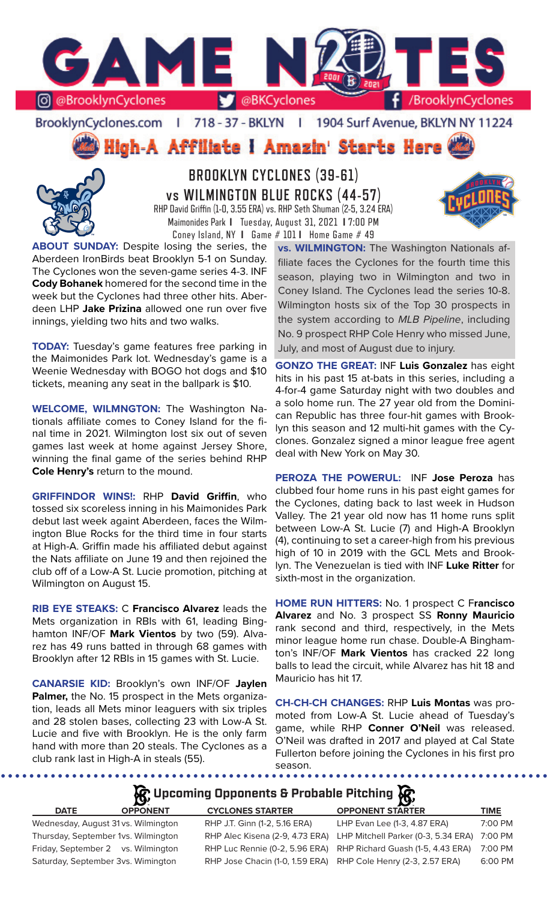

BrooklynCyclones.com | 718 - 37 - BKLYN | 1904 Surf Avenue, BKLYN NY 11224

High-A Affiliate I Amazin' Starts Here



**BROOKLYN CYCLONES (39-61) vs WILMINGTON BLUE ROCKS (44-57)** RHP David Griffin (1-0, 3.55 ERA) vs. RHP Seth Shuman (2-5, 3.24 ERA) Maimonides Park **I** Tuesday, August 31, 2021 **I** 7:00 PM Coney Island, NY **I** Game # 101 **I** Home Game # 49

**ABOUT SUNDAY:** Despite losing the series, the Aberdeen IronBirds beat Brooklyn 5-1 on Sunday. The Cyclones won the seven-game series 4-3. INF **Cody Bohanek** homered for the second time in the week but the Cyclones had three other hits. Aberdeen LHP **Jake Prizina** allowed one run over five innings, yielding two hits and two walks.

**TODAY:** Tuesday's game features free parking in the Maimonides Park lot. Wednesday's game is a Weenie Wednesday with BOGO hot dogs and \$10 tickets, meaning any seat in the ballpark is \$10.

**WELCOME, WILMNGTON:** The Washington Nationals affiliate comes to Coney Island for the final time in 2021. Wilmington lost six out of seven games last week at home against Jersey Shore, winning the final game of the series behind RHP **Cole Henry's** return to the mound.

**GRIFFINDOR WINS!:** RHP **David Griffin**, who tossed six scoreless inning in his Maimonides Park debut last week againt Aberdeen, faces the Wilmington Blue Rocks for the third time in four starts at High-A. Griffin made his affiliated debut against the Nats affiliate on June 19 and then rejoined the club off of a Low-A St. Lucie promotion, pitching at Wilmington on August 15.

**RIB EYE STEAKS:** C **Francisco Alvarez** leads the Mets organization in RBIs with 61, leading Binghamton INF/OF **Mark Vientos** by two (59). Alvarez has 49 runs batted in through 68 games with Brooklyn after 12 RBIs in 15 games with St. Lucie.

**CANARSIE KID:** Brooklyn's own INF/OF **Jaylen Palmer,** the No. 15 prospect in the Mets organization, leads all Mets minor leaguers with six triples and 28 stolen bases, collecting 23 with Low-A St. Lucie and five with Brooklyn. He is the only farm hand with more than 20 steals. The Cyclones as a club rank last in High-A in steals (55).

........

**vs. WILMINGTON:** The Washington Nationals affiliate faces the Cyclones for the fourth time this season, playing two in Wilmington and two in Coney Island. The Cyclones lead the series 10-8. Wilmington hosts six of the Top 30 prospects in the system according to *MLB Pipeline*, including No. 9 prospect RHP Cole Henry who missed June, July, and most of August due to injury.

**GONZO THE GREAT:** INF **Luis Gonzalez** has eight hits in his past 15 at-bats in this series, including a 4-for-4 game Saturday night with two doubles and a solo home run. The 27 year old from the Dominican Republic has three four-hit games with Brooklyn this season and 12 multi-hit games with the Cyclones. Gonzalez signed a minor league free agent deal with New York on May 30.

**PEROZA THE POWERUL:** INF **Jose Peroza** has clubbed four home runs in his past eight games for the Cyclones, dating back to last week in Hudson Valley. The 21 year old now has 11 home runs split between Low-A St. Lucie (7) and High-A Brooklyn (4), continuing to set a career-high from his previous high of 10 in 2019 with the GCL Mets and Brooklyn. The Venezuelan is tied with INF **Luke Ritter** for sixth-most in the organization.

**HOME RUN HITTERS:** No. 1 prospect C F**rancisco Alvarez** and No. 3 prospect SS **Ronny Mauricio**  rank second and third, respectively, in the Mets minor league home run chase. Double-A Binghamton's INF/OF **Mark Vientos** has cracked 22 long balls to lead the circuit, while Alvarez has hit 18 and Mauricio has hit 17.

**CH-CH-CH CHANGES:** RHP **Luis Montas** was promoted from Low-A St. Lucie ahead of Tuesday's game, while RHP **Conner O'Neil** was released. O'Neil was drafted in 2017 and played at Cal State Fullerton before joining the Cyclones in his first pro season.

# **K**: Upcoming Opponents & Probable Pitching **K**

| <b>DATE</b> | <b>OPPONENT</b>                     | <b>CYCLONES STARTER</b>       | <b>OPPONENT STARTER</b>                                             | <b>TIME</b> |
|-------------|-------------------------------------|-------------------------------|---------------------------------------------------------------------|-------------|
|             | Wednesday, August 31 vs. Wilmington | RHP J.T. Ginn (1-2, 5.16 ERA) | LHP Evan Lee (1-3, 4.87 ERA)                                        | 7:00 PM     |
|             | Thursday, September 1vs. Wilmington |                               | RHP Alec Kisena (2-9, 4.73 ERA) LHP Mitchell Parker (0-3, 5.34 ERA) | 7:00 PM     |
|             | Friday, September 2 vs. Wilmington  |                               | RHP Luc Rennie (0-2, 5.96 ERA) RHP Richard Guash (1-5, 4.43 ERA)    | 7:00 PM     |
|             | Saturday, September 3vs. Wimington  |                               | RHP Jose Chacin (1-0, 1.59 ERA) RHP Cole Henry (2-3, 2.57 ERA)      | 6:00 PM     |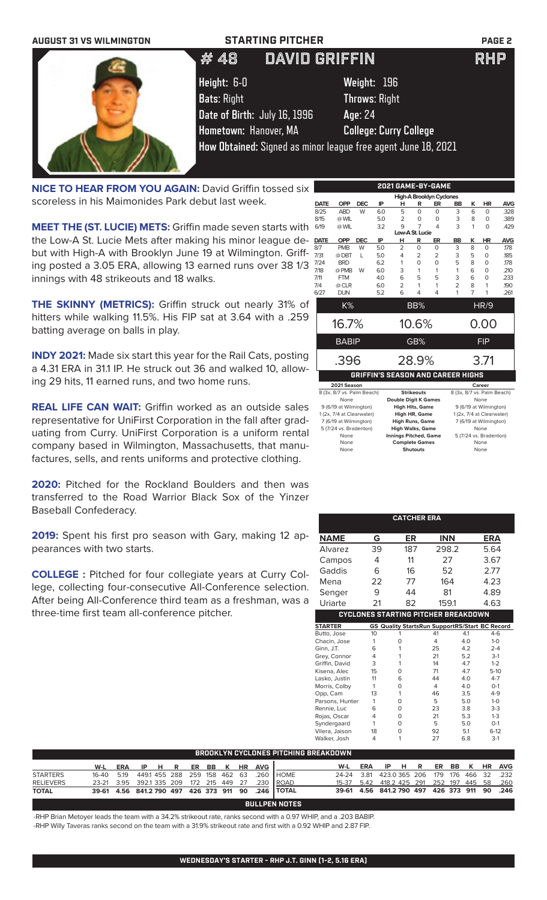| <b>AUGUST 31 VS WILMINGTON</b> | <b>STARTING PITCHER</b>      |                                                               | <b>PAGE 2</b> |
|--------------------------------|------------------------------|---------------------------------------------------------------|---------------|
|                                | <b>DAVID GRIFFIN</b><br># 48 |                                                               | <b>RHP</b>    |
|                                | Height: 6-0                  | Weight: 196                                                   |               |
|                                | <b>Bats: Right</b>           | <b>Throws: Right</b>                                          |               |
|                                | Date of Birth: July 16, 1996 | Age: 24                                                       |               |
|                                | Hometown: Hanover, MA        | <b>College: Curry College</b>                                 |               |
|                                |                              | How Obtained: Signed as minor league free agent June 18, 2021 |               |

**NICE TO HEAR FROM YOU AGAIN: David Griffin tossed six** scoreless in his Maimonides Park debut last week.

**MEET THE (ST. LUCIE) METS:** Griffin made seven starts with the Low-A St. Lucie Mets after making his minor league debut with High-A with Brooklyn June 19 at Wilmington. Griffing posted a 3.05 ERA, allowing 13 earned runs over 38 1/3 innings with 48 strikeouts and 18 walks.

**THE SKINNY (METRICS):** Griffin struck out nearly 31% of hitters while walking 11.5%. His FIP sat at 3.64 with a .259 batting average on balls in play.

**INDY 2021:** Made six start this year for the Rail Cats, posting a 4.31 ERA in 31.1 IP. He struck out 36 and walked 10, allowing 29 hits, 11 earned runs, and two home runs.

**REAL LIFE CAN WAIT:** Griffin worked as an outside sales representative for UniFirst Corporation in the fall after graduating from Curry. UniFirst Corporation is a uniform rental company based in Wilmington, Massachusetts, that manufactures, sells, and rents uniforms and protective clothing.

2020: Pitched for the Rockland Boulders and then was transferred to the Road Warrior Black Sox of the Yinzer Baseball Confederacy.

**2019:** Spent his first pro season with Gary, making 12 appearances with two starts.

**COLLEGE :** Pitched for four collegiate years at Curry College, collecting four-consecutive All-Conference selection. After being All-Conference third team as a freshman, was a three-time first team all-conference pitcher.

|             |                            |            |     |                |                   | 2021 GAME-BY-GAME                 |                |                |                            |            |
|-------------|----------------------------|------------|-----|----------------|-------------------|-----------------------------------|----------------|----------------|----------------------------|------------|
|             |                            |            |     |                |                   | High-A Brooklyn Cyclones          |                |                |                            |            |
| <b>DATE</b> | <b>OPP</b>                 | <b>DEC</b> | IP  | н              | R                 | ER                                | BB             | ĸ              | <b>HR</b>                  | <b>AVG</b> |
| 8/25        | <b>ABD</b>                 | W          | 6.0 | 5              | $\Omega$          | 0                                 | 3              | 6              | $\Omega$                   | .328       |
| 8/15        | @ WIL                      |            | 5.0 | 2              | 0                 | 0                                 | 3              | 8              | 0                          | .389       |
| 6/19        | @ WIL                      |            | 3.2 | 9              | 7                 | 4                                 | 3              | 1              | O                          | .429       |
|             |                            |            |     |                | Low-A St. Lucie   |                                   |                |                |                            |            |
| <b>DATE</b> | <b>OPP</b>                 | <b>DEC</b> | IP  | н              | R                 | ER                                | BB             | κ              | <b>HR</b>                  | <b>AVG</b> |
| 8/7         | <b>PMB</b>                 | W          | 5.0 | $\overline{2}$ | $\Omega$          | 0                                 | 3              | 8              | $\Omega$                   | .178       |
| 7/31        | @ DBT                      | L          | 5.0 | 4              | 2                 | $\overline{2}$                    | 3              | 5              | O                          | 185        |
| 7/24        | <b>BRD</b>                 |            | 6.2 | 1              | 0                 | 0                                 | 5              | 8              | O                          | .178       |
| 7/18        | @ PMB                      | W          | 6.0 | 3              | 1                 | 1                                 | 1              | 6              | $\Omega$                   | .210       |
| 7/11        | <b>FTM</b>                 |            | 4.0 | 6              | 5                 | 5                                 | 3              | 6              | $\Omega$                   | .233       |
| 7/4         | @ CLR                      |            | 6.0 | $\overline{2}$ | 1                 | 1                                 | $\overline{2}$ | 8              | 1                          | 190        |
| 6/27        | <b>DUN</b>                 |            | 5.2 | 6              | 4                 | 4                                 | 1              | $\overline{7}$ | 1                          | .261       |
|             | K%                         |            |     |                | BB%               |                                   |                |                | HR/9                       |            |
|             | 16.7%                      |            |     |                | 10.6%             |                                   |                |                | 0.00                       |            |
|             |                            |            |     |                |                   |                                   |                |                |                            |            |
|             | <b>BABIP</b>               |            |     |                | GB%               |                                   |                |                | <b>FIP</b>                 |            |
|             | .396                       |            |     |                | 28.9%             |                                   |                |                | 3.71                       |            |
|             |                            |            |     |                |                   |                                   |                |                |                            |            |
|             |                            |            |     |                |                   | GRIFFIN'S SEASON AND CAREER HIGHS |                |                |                            |            |
|             | 2021 Season                |            |     |                |                   |                                   |                |                | Career                     |            |
|             | 8 (3x, 8/7 vs, Palm Beach) |            |     |                | <b>Strikeouts</b> |                                   |                |                | 8 (3x, 8/7 vs, Palm Beach) |            |

| 8 (3x, 8/7 vs. Palm Beach) | <b>Strikeouts</b>            | 8 (3x, 8/7 vs. Palm Beach) |
|----------------------------|------------------------------|----------------------------|
| None                       | <b>Double Digit K Games</b>  | None                       |
| 9 (6/19 at Wilmington)     | <b>High Hits, Game</b>       | 9 (6/19 at Wilmington)     |
| 1 (2x, 7/4 at Clearwater)  | High HR, Game                | 1 (2x, 7/4 at Clearwater)  |
| 7 (6/19 at Wilmington)     | <b>High Runs, Game</b>       | 7 (6/19 at Wilmington)     |
| 5 (7/24 vs. Bradenton)     | <b>High Walks, Game</b>      | None                       |
| None                       | <b>Innings Pitched, Game</b> | 5 (7/24 vs. Bradenton)     |
| None                       | <b>Complete Games</b>        | None                       |
| None                       | <b>Shutouts</b>              | None                       |
|                            |                              |                            |

|                 |            |                                                       |     | <b>CATCHER ERA</b> |            |     |            |            |
|-----------------|------------|-------------------------------------------------------|-----|--------------------|------------|-----|------------|------------|
|                 |            |                                                       |     |                    |            |     |            |            |
| <b>NAME</b>     | G          |                                                       | ER  |                    | <b>INN</b> |     | <b>ERA</b> |            |
| Alvarez         | 39         |                                                       | 187 |                    | 298.2      |     | 5.64       |            |
| Campos          | 4          |                                                       | 11  |                    | 27         |     | 3.67       |            |
| Gaddis          | 6          |                                                       | 16  |                    | 52         |     | 2.77       |            |
| Mena            | 22         |                                                       | 77  |                    | 164        |     | 4.23       |            |
| Senger          | 9          |                                                       | 44  |                    | 81         |     | 4.89       |            |
| Uriarte         | 21         |                                                       | 82  |                    | 159.1      |     | 4.63       |            |
|                 |            | <b>CYCLONES STARTING PITCHER BREAKDOWN</b>            |     |                    |            |     |            |            |
| <b>STARTER</b>  |            | <b>GS Quality StartsRun SupportRS/Start BC Record</b> |     |                    |            |     |            |            |
| Butto, Jose     | 10         | 1                                                     |     | 41                 |            | 4.1 |            | $4-6$      |
| Chacin, Jose    | 1          | 0                                                     |     | 4                  |            | 4.0 |            | $1-0$      |
| Ginn, J.T.      | 6          | 1                                                     |     | 25                 |            | 4.2 |            | $2 - 4$    |
| Grey, Connor    | 4          | 1                                                     |     | 21                 |            | 5.2 |            | $3-1$      |
| Griffin, David  | 3          | 1                                                     |     | 14                 |            | 4.7 |            | $1 - 2$    |
| Kisena, Alec    | 15         | 0                                                     |     | 71                 |            | 4.7 |            | $5-10$     |
| Lasko, Justin   | 11         | 6                                                     |     | 44                 |            | 4.0 |            | $4 - 7$    |
| Morris, Colby   | 1          | 0                                                     |     | $\overline{4}$     |            | 4.0 |            | $O-1$      |
| Opp, Cam        | 13         | 1                                                     |     | 46                 |            | 3.5 |            | $4 - 9$    |
| Parsons, Hunter | 1          | 0                                                     |     | 5                  |            | 5.0 |            | $1-0$      |
| Rennie, Luc     | 6          | 0                                                     |     | 23                 |            | 3.8 |            | $3-3$      |
| Rojas, Oscar    | 4          | 0                                                     |     | 21                 |            | 5.3 |            | $1 - 3$    |
| Syndergaard     | 1          | 0                                                     |     | 5                  |            | 5.0 |            | $O-1$      |
| Vilera, Jaison  | 18         | 0                                                     |     | 92                 |            | 5.1 |            | $6 - 12$   |
| Walker, Josh    | 4          | 1                                                     |     | 27                 |            | 6.8 |            | $3-1$      |
| REAKDOWN        |            |                                                       |     |                    |            |     |            |            |
| W-L             | <b>ERA</b> | IP                                                    | н   | ER<br>R            | <b>BB</b>  | κ   | HR         | <b>AVG</b> |
| 24-24           | 3.81       | 423.0 365                                             |     | 206<br>179         | 176        | 466 | 32         | .232       |

| <b>BROOKLYN CYCLONES PITCHING BREAKDOWN</b> |                                         |     |       |  |  |       |  |   |           |                                   |                                                    |                                                         |     |                                  |  |         |  |  |        |
|---------------------------------------------|-----------------------------------------|-----|-------|--|--|-------|--|---|-----------|-----------------------------------|----------------------------------------------------|---------------------------------------------------------|-----|----------------------------------|--|---------|--|--|--------|
|                                             | W-L                                     | ERA | IP HR |  |  | ER BB |  | K | <b>HR</b> | AVG                               |                                                    | W-L                                                     | ERA | IPHR                             |  | ER BB K |  |  | HR AVG |
| <b>STARTERS</b>                             | 16-40 5.19                              |     |       |  |  |       |  |   |           | 449.1 455 288 259 158 462 63 .260 | <b>I</b> HOME                                      | 24-24 3.81                                              |     | 423.0365 206 179 176 466 32 .232 |  |         |  |  |        |
| <b>RELIEVERS</b>                            | 23-21 3.95 392.1 335 209 172 215 449 27 |     |       |  |  |       |  |   |           | .230                              | <b>IROAD</b>                                       | 15-37   5.42   418.2   425   291   252   197   445   58 |     |                                  |  |         |  |  | .260   |
| <b>TOTAL</b>                                |                                         |     |       |  |  |       |  |   |           |                                   | 39-61 4.56 841.2 790 497 426 373 911 90 .246 TOTAL | 39-61 4.56 841.2 790 497 426 373 911 90 .246            |     |                                  |  |         |  |  |        |
| <b>BULLPEN NOTES</b>                        |                                         |     |       |  |  |       |  |   |           |                                   |                                                    |                                                         |     |                                  |  |         |  |  |        |

-RHP Brian Metoyer leads the team with a 34.2% strikeout rate, ranks second with a 0.97 WHIP, and a .203 BABIP. -RHP Willy Taveras ranks second on the team with a 31.9% strikeout rate and first with a 0.92 WHIP and 2.87 FIP.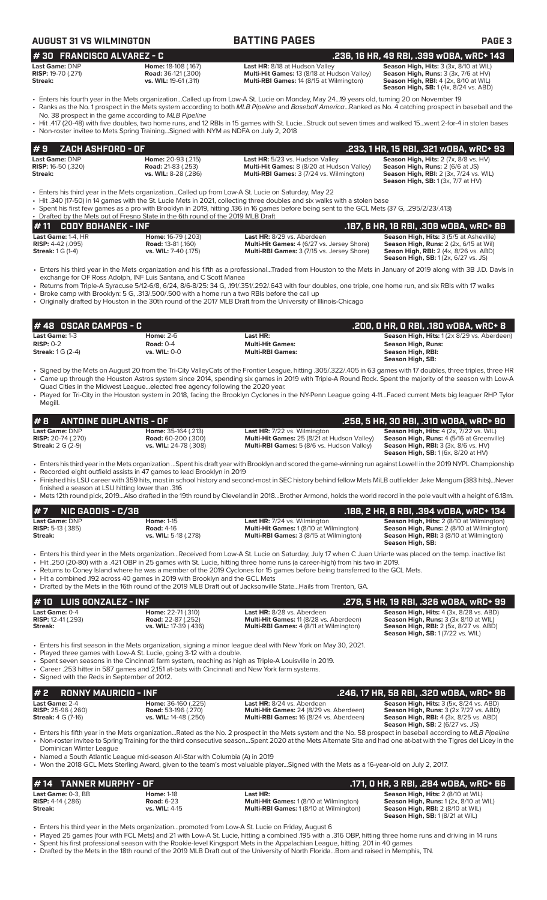# **AUGUST 31 BATTING PAGES PAGE 3**

| <b>Last Game:</b> DNP<br><b>Last HR:</b> 8/18 at Hudson Valley<br><b>Home: 18-108 (.167)</b>                  | Season High, Hits: 3 (3x, 8/10 at WIL                  |
|---------------------------------------------------------------------------------------------------------------|--------------------------------------------------------|
| <b>RISP:</b> 19-70 (.271)<br><b>Multi-Hit Games: 13 (8/18 at Hudson Valley)</b><br><b>Road:</b> 36-121 (.300) | <b>Season High, Runs:</b> $3$ ( $3x$ , $7/6$ at $HV$ ) |
| Streak:<br><b>Multi-RBI Games: 14 (8/15 at Wilmington)</b><br><b>vs. WIL:</b> 19-61 (.311)                    | <b>Season High, RBI:</b> $4$ (2x, 8/10 at WIL)         |

**Last HR:** 8/18 at Hudson Valley **Season High, Hits:** 3 (3x, 8/10 at WIL **Multi-Hit Games:** 13 (8/18 at Hudson Valley) **Season High, Runs:** 3 (3x, 7/6 at HV) **Multi-Hit Games: 13 (8/18 at Hudson Valley)**<br>**Multi-RBI Games: 14 (8/15 at Wilmington)** 

**Season High, SB:** 1 (4x, 8/24 vs. ABD)

- Enters his fourth year in the Mets organization...Called up from Low-A St. Lucie on Monday, May 24...19 years old, turning 20 on November 19 • Ranks as the No. 1 prospect in the Mets system according to both *MLB Pipeline* and *Baseball America*...Ranked as No. 4 catching prospect in baseball and the
- No. 38 prospect in the game according to *MLB Pipeline* • Hit .417 (20-48) with five doubles, two home runs, and 12 RBIs in 15 games with St. Lucie...Struck out seven times and walked 15...went 2-for-4 in stolen bases
- Non-roster invitee to Mets Spring Training...Signed with NYM as NDFA on July 2, 2018

| 1#9    ZACH ASHFORD - OF                           |                                                        |                                                                                      | .233, 1 HR, 15 RBI, .321 wOBA, wRC+ 93                                                         |
|----------------------------------------------------|--------------------------------------------------------|--------------------------------------------------------------------------------------|------------------------------------------------------------------------------------------------|
| <b>Last Game: DNP</b><br><b>RISP:</b> 16-50 (.320) | <b>Home: 20-93 (.215)</b><br><b>Road:</b> 21-83 (.253) | Last HR: 5/23 vs. Hudson Valley<br><b>Multi-Hit Games:</b> 8 (8/20 at Hudson Valley) | <b>Season High, Hits:</b> $2$ (7x, $8/8$ vs. $HV$ )<br><b>Season High, Runs: 2 (6/6 at JS)</b> |
| Streak:                                            | vs. WIL: 8-28 (.286)                                   | <b>Multi-RBI Games: 3 (7/24 vs. Wilmington)</b>                                      | <b>Season High, RBI:</b> 2 (3x, 7/24 vs. WIL)<br><b>Season High, SB:</b> 1 (3x, 7/7 at HV)     |

- Enters his third year in the Mets organization...Called up from Low-A St. Lucie on Saturday, May 22
- Hit .340 (17-50) in 14 games with the St. Lucie Mets in 2021, collecting three doubles and six walks with a stolen base
- Spent his first few games as a pro with Brooklyn in 2019, hitting .136 in 16 games before being sent to the GCL Mets (37 G, .295/2/23/.413)

Drafted by the Mets out of Fresno State in the 6th round of the 2019 MLB Draft<br>• 11 CODY BOHANEK - INF **# 11 CODY BOHANEK - INF**<br> **187, 6 HR, 18 RBI, .309 wOBA, wRC+ 89**<br> **RISP:** 4-42 (.095) **Road: 13-81 (.160) Last HR:** 8/29 vs. Aberdeen **Season High, Hits: 3 (5/5 at Asheville)**<br> **RISP: 4-42 (.095) Riser and the RISP: Last Game:** 1-4, HR **Home:** 16-79 (.203) **Last HR:** 8/29 vs. Aberdeen **Season High, Hits:** 3 (5/5 at Asheville) **RISP:** 4-42 (.095) **Road:** 13-81 (.160) **Multi-Hit Games:** 4 (6/27 vs. Jersey Shore) **Season High, Runs:** 2 (2x, 6/15 at Wil) **Streak:** 1 G (1-4) **vs. WIL:** 7-40 (.175) **Multi-RBI Games:** 3 (7/15 vs. Jersey Shore) **Seaon High, RBI:** 2 (4x, 8/26 vs. ABD) **Season High, SB:** 1 (2x, 6/27 vs. JS)

- Enters his third year in the Mets organization and his fifth as a professional...Traded from Houston to the Mets in January of 2019 along with 3B J.D. Davis in exchange for OF Ross Adolph, INF Luis Santana, and C Scott Manea
- Returns from Triple-A Syracuse 5/12-6/8, 6/24, 8/6-8/25: 34 G, .191/.351/.292/.643 with four doubles, one triple, one home run, and six RBIs with 17 walks • Broke camp with Brooklyn: 5 G, .313/.500/.500 with a home run a two RBIs before the call up
- Originally drafted by Houston in the 30th round of the 2017 MLB Draft from the University of Illinois-Chicago

| I # 48   OSCAR CAMPOS - C          |              |                         | .200, 0 HR, 0 RBI, .180 w0BA, wRC+ 8              |
|------------------------------------|--------------|-------------------------|---------------------------------------------------|
| <b>Last Game: 1-3</b>              | Home: $2-6$  | Last HR:                | <b>Season High, Hits: 1(2x 8/29 vs. Aberdeen)</b> |
| $RISP: 0-2$                        | Road: $0-4$  | <b>Multi-Hit Games:</b> | Season High, Runs:                                |
| <b>Streak:</b> $1 \text{ G}$ (2-4) | vs. WIL: 0-0 | <b>Multi-RBI Games:</b> | Season High, RBI:<br>Season High, SB:             |

- Signed by the Mets on August 20 from the Tri-City ValleyCats of the Frontier League, hitting .305/.322/.405 in 63 games with 17 doubles, three triples, three HR • Came up through the Houston Astros system since 2014, spending six games in 2019 with Triple-A Round Rock. Spent the majority of the season with Low-A Quad Cities in the Midwest League...elected free agency following the 2020 year.
- Played for Tri-City in the Houston system in 2018, facing the Brooklyn Cyclones in the NY-Penn League going 4-11...Faced current Mets big leaguer RHP Tylor Megill.

| #B<br>ANTOINE DUPLANTIS - OF |                              |                                                   | .258, 5 HR, 30 RBI, .310 w0BA, wRC+ 90           |
|------------------------------|------------------------------|---------------------------------------------------|--------------------------------------------------|
| <b>Last Game: DNP</b>        | <b>Home: 35-164 (.213)</b>   | <b>Last HR:</b> 7/22 vs. Wilmington               | <b>Season High, Hits: 4 (2x, 7/22 vs. WIL)</b>   |
| <b>RISP:</b> 20-74 (.270)    | <b>Road:</b> 60-200 (.300)   | Multi-Hit Games: 25 (8/21 at Hudson Valley)       | <b>Season High, Runs: 4 (5/16 at Greenville)</b> |
| <b>Streak:</b> $2 G (2-9)$   | <b>vs. WIL:</b> 24-78 (.308) | <b>Multi-RBI Games:</b> 5 (8/6 vs. Hudson Valley) | <b>Season High, RBI:</b> 3 (3x, 8/6 vs. HV)      |
|                              |                              |                                                   | <b>Season High, SB:</b> 1 (6x, 8/20 at HV)       |

- Enters his third year in the Mets organization ...Spent his draft year with Brooklyn and scored the game-winning run against Lowell in the 2019 NYPL Championship
- Recorded eight outfield assists in 47 games to lead Brooklyn in 2019
- Finished his LSU career with 359 hits, most in school history and second-most in SEC history behind fellow Mets MiLB outfielder Jake Mangum (383 hits)...Never finished a season at LSU hitting lower than .316
- Mets 12th round pick, 2019...Also drafted in the 19th round by Cleveland in 2018...Brother Armond, holds the world record in the pole vault with a height of 6.18m.

| # 7 NIC GADDIS - C/3B                                                                                                                                                                                                                                                                                                                                                                                                      |                                        |                                                                                | .188, 2 HR, 8 RBI, .394 wOBA, wRC+ 134                                                        |  |  |
|----------------------------------------------------------------------------------------------------------------------------------------------------------------------------------------------------------------------------------------------------------------------------------------------------------------------------------------------------------------------------------------------------------------------------|----------------------------------------|--------------------------------------------------------------------------------|-----------------------------------------------------------------------------------------------|--|--|
| Last Game: DNP<br><b>RISP:</b> 5-13 $(.385)$                                                                                                                                                                                                                                                                                                                                                                               | <b>Home: 1-15</b><br><b>Road: 4-16</b> | <b>Last HR:</b> 7/24 vs. Wilmington<br>Multi-Hit Games: 1 (8/10 at Wilmington) | Season High, Hits: 2 (8/10 at Wilmington)<br><b>Season High, Runs:</b> 2 (8/10 at Wilmington) |  |  |
| Streak:                                                                                                                                                                                                                                                                                                                                                                                                                    | vs. WIL: 5-18 (.278)                   | <b>Multi-RBI Games:</b> 3 (8/15 at Wilmington)                                 | <b>Season High, RBI: 3 (8/10 at Wilmington)</b><br>Season High, SB:                           |  |  |
| • Enters his third year in the Mets organizationReceived from Low-A St. Lucie on Saturday, July 17 when C Juan Uriarte was placed on the temp. inactive list<br>. Hit .250 (20-80) with a .421 OBP in 25 games with St. Lucie, hitting three home runs (a career-high) from his two in 2019.<br>. Returns to Coney Island where he was a member of the 2019 Cyclones for 15 games before being transferred to the GCL Mets |                                        |                                                                                |                                                                                               |  |  |

- before being transferred to the GCL Mets.
- Hit a combined .192 across 40 games in 2019 with Brooklyn and the GCL Mets • Drafted by the Mets in the 16th round of the 2019 MLB Draft out of Jacksonville State...Hails from Trenton, GA.

### **Last Game: 0-4 Home: 22-71 (.310) Last HR:** 8/28 vs. Aberdeen **Season High, Hits: 4 (3x, 8/28 vs. ABD)**<br> **RISP: 12-41 (.293) Road: 22-87 (.252) Multi-Hit Games: 11 (8/28 vs. Aberdeen) <b>Season High, Runs:** 3 (3x 8/10 **RISP:** 12-41 (.293) **Road: 22-87 (.252) Multi-Hit Games:** 11 (8/28 vs. Aberdeen) **Streak: Streak: Streak: Streak: WIL:** 17-39 (.436) **Multi-RBI Games:** 4 (8/11 at Wilmington) **Season High, RBI:** 2 (5x, 8/27 vs. ABD) **Season High, SB:** 1 (7/22 vs. WIL) • Enters his first season in the Mets organization, signing a minor league deal with New York on May 30, 2021. **# 10 LUIS GONZALEZ - INF .278, 5 HR, 19 RBI, .326 wOBA, wRC+ 99**

- 
- Played three games with Low-A St. Lucie, going 3-12 with a double
- Spent seven seasons in the Cincinnati farm system, reaching as high as Triple-A Louisville in 2019. • Career .253 hitter in 587 games and 2,151 at-bats with Cincinnati and New York farm systems.
- Signed with the Reds in September of 2012.

| # 2 RONNY MAURICIO - INF    |                              |                                                | .246, 17 HR, 58 RBI, .320 WOBA, WRC+ 96        |
|-----------------------------|------------------------------|------------------------------------------------|------------------------------------------------|
| <b>Last Game: 2-4</b>       | <b>Home:</b> $36-160$ (.225) | <b>Last HR:</b> 8/24 vs. Aberdeen              | <b>Season High, Hits: 3 (5x, 8/24 vs. ABD)</b> |
| <b>RISP:</b> $25-96$ (.260) | <b>Road:</b> 53-196 (.270)   | <b>Multi-Hit Games: 24 (8/29 vs. Aberdeen)</b> | <b>Season High, Runs: 3 (2x 7/27 vs. ABD)</b>  |
| <b>Streak:</b> 4 G (7-16)   | vs. WIL: 14-48 (.250)        | <b>Multi-RBI Games: 16 (8/24 vs. Aberdeen)</b> | <b>Season High, RBI:</b> 4 (3x, 8/25 vs. ABD)  |
|                             |                              |                                                | <b>Season High, SB: 2 (6/27 vs. JS)</b>        |

- Enters his fifth year in the Mets organization...Rated as the No. 2 prospect in the Mets system and the No. 58 prospect in baseball according to *MLB Pipeline* • Non-roster invitee to Spring Training for the third consecutive season...Spent 2020 at the Mets Alternate Site and had one at-bat with the Tigres del Licey in the Dominican Winter League
- Named a South Atlantic League mid-season All-Star with Columbia (A) in 2019
- Won the 2018 GCL Mets Sterling Award, given to the team's most valuable player...Signed with the Mets as a 16-year-old on July 2, 2017.

# **# 14 TANNER MURPHY - OF .171, 0 HR, 3 RBI, .284 wOBA, wRC+ 66**

| Last Game: 0-3. BB         | <b>Home: 1-18</b> | Last HR:                                       | <b>Season High, Hits: 2 (8/10 at WIL)</b> |
|----------------------------|-------------------|------------------------------------------------|-------------------------------------------|
| <b>RISP:</b> $4-14$ (.286) | <b>Road: 6-23</b> | <b>Multi-Hit Games: 1 (8/10 at Wilmington)</b> | Season High, Runs: 1 (2x, 8/10 at WIL)    |
| Streak:                    | $vs.$ WIL: 4-15   | <b>Multi-RBI Games: 1(8/10 at Wilmington)</b>  | <b>Season High, RBI:</b> 2 (8/10 at WIL)  |
|                            |                   |                                                | <b>Season High, SB:</b> 1(8/21 at WIL)    |

- Enters his third year in the Mets organization...promoted from Low-A St. Lucie on Friday, August 6
- Played 25 games (four with FCL Mets) and 21 with Low-A St. Lucie, hitting a combined .195 with a .316 OBP, hitting three home runs and driving in 14 runs • Spent his first professional season with the Rookie-level Kingsport Mets in the Appalachian League, hitting. 201 in 40 games
- Drafted by the Mets in the 18th round of the 2019 MLB Draft out of the University of North Florida...Born and raised in Memphis, TN.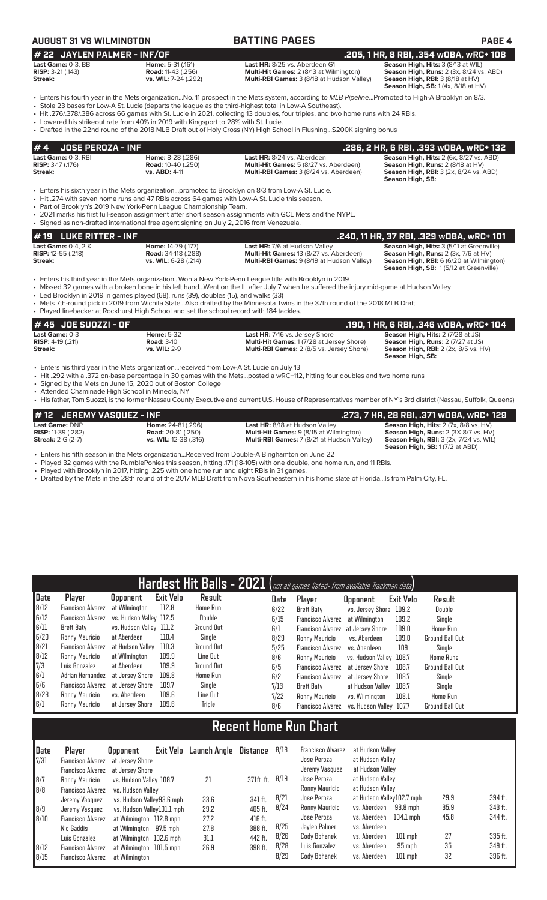### **AUGUST 31 VS WILMINGTON BATTING PAGES PAGE 4 # 19 LUKE RITTER - INF .240, 11 HR, 37 RBI, .329 wOBA, wRC+ 101 Last Game:** 0-4, 2 K **Home:** 14-79 (.177) **Last HR:** 7/6 at Hudson Valley **Season High, Hits:** 3 (5/11 at Greenville) **Rister Season High, Hits:** 3 (5/11 at Greenville) **Rister Season High, Runs: 2** (3x, 7/6 at HV) **RISP:** 12-55 (.218) **Road:** 34-118 (.288) **Multi-Hit Games:** 13 (8/27 vs. Aberdeen) **Season High, Runs:** 2 (3x, 7/6 at HV) **Streak:** vs. WIL: 6-28 (.214) **Multi-RBI Games:** 9 (8/19 at Hudson Valley) **Season High, SB:** 1 (5/12 at Greenville) • Enters his third year in the Mets organization...Won a New York-Penn League title with Brooklyn in 2019 • Missed 32 games with a broken bone in his left hand...Went on the IL after July 7 when he suffered the injury mid-game at Hudson Valley • Led Brooklyn in 2019 in games played (68), runs (39), doubles (15), and walks (33) • Mets 7th-round pick in 2019 from Wichita State...Also drafted by the Minnesota Twins in the 37th round of the 2018 MLB Draft Played linebacker at Rockhurst High School and set the school record with 184 tackles. **# 45 JOE SUOZZI - OF .190, 1 HR, 6 RBI, .346 wOBA, wRC+ 104 Last Game:** 0-3 **Home:** 5-32 **Last HR:** 7/16 vs. Jersey Shore **Season High, Hits:** 2 (7/28 at JS)<br>**RISP:** 4-19 (.211) **Road:** 3-10 **Road:** 3-10 **Multi-Hit Games:** 1 (7/28 at Jersey Shore) **Season High, Runs:** 2 (7/27 at J **RISP:**  $4-19$  (.211) **Road:** 3-10 **Road:** 3-10 **Multi-Hit Games:** 1 (7/28 at Jersey Shore) **Season High, Runs:** 2 (7/27 at JS)<br> **Streak: Streak: WILE:** 2-9 **Multi-RBI Games:** 2 (8/5 vs. Jersey Shore) **Season High, RBI Multi-RBI Games:** 2 (8/5 vs. Jersey Shore) **# 4 JOSE PEROZA - INF .286, 2 HR, 6 RBI, .393 wOBA, wRC+ 132 Last Game:** 0-3, RBI **Home:** 8-28 (.286) **Last HR:** 8/24 vs. Aberdeen **Season High, Hits:** 2 (6x, 8/27 vs. ABD) **RISP:** 3-17 (.176) **Road:** 10-40 (.250) **Multi-Hit Games:** 5 (8/27 vs. Aberdeen) **Season High, Runs:** 2 (8/18 at HV) **Streak: vs. ABD:** 4-11 **Multi-RBI Games:** 3 (8/24 vs. Aberdeen) **Season High, RBI:** 3 (2x, 8/24 vs. ABD) **Season High, SB:**  • Enters his sixth year in the Mets organization...promoted to Brooklyn on 8/3 from Low-A St. Lucie. • Hit .274 with seven home runs and 47 RBIs across 64 games with Low-A St. Lucie this season. • Part of Brooklyn's 2019 New York-Penn League Championship Team. • 2021 marks his first full-season assignment after short season assignments with GCL Mets and the NYPL. • Signed as non-drafted international free agent signing on July 2, 2016 from Venezuela. **# 22 JAYLEN PALMER - INF/OF .205, 1 HR, 8 RBI, .354 wOBA, wRC+ 108 Last Game: 0-3, BB Home: 5-31 (.161) Last HR: 8/25 vs. Aberdeen G1 <b>Season High, Hits:** 3 (8/13 at WIL)<br> **RISP:** 3-21 (.143) **Road:** 11-43 (.256) **Multi-Hit Games: 2 (8/13 at Wilmington) Season High, Runs: 2 (3x, 8/24 RISP:**  $3-21$  (.143) **Road:** 11-43 (.256) **Multi-Hit Games:** 2 (8/13 at Wilmington) **Season High, Runs: 2** (3x, 8/24 vs. ABD) **Season High, Runs: 2** (3x, 8/24 vs. ABD) **Season High, Runs: 2** (3x, 8/24 vs. ABD) **Season Hig Multi-RBI Games: 3 (8/18 at Hudson Valley) Season High, SB:** 1 (4x, 8/18 at HV) • Enters his fourth year in the Mets organization...No. 11 prospect in the Mets system, according to *MLB Pipeline*...Promoted to High-A Brooklyn on 8/3. • Stole 23 bases for Low-A St. Lucie (departs the league as the third-highest total in Low-A Southeast). • Hit .276/.378/.386 across 66 games with St. Lucie in 2021, collecting 13 doubles, four triples, and two home runs with 24 RBIs. Lowered his strikeout rate from 40% in 2019 with Kingsport to 28% with St. Lucie. • Drafted in the 22nd round of the 2018 MLB Draft out of Holy Cross (NY) High School in Flushing...\$200K signing bonus

• Enters his third year in the Mets organization...received from Low-A St. Lucie on July 13

• Hit .292 with a .372 on-base percentage in 30 games with the Mets...posted a wRC+112, hitting four doubles and two home runs

Signed by the Mets on June 15, 2020 out of Boston College

• Attended Chaminade High School in Mineola, NY • His father, Tom Suozzi, is the former Nassau County Executive and current U.S. House of Representatives member of NY's 3rd district (Nassau, Suffolk, Queens)

| # 12 JEREMY VASOUEZ - INF |                           |                                                | . 273, 7 HR, 28 RBI, .371 wOBA, wRC+ 129.     |
|---------------------------|---------------------------|------------------------------------------------|-----------------------------------------------|
| Last Game: DNP            | <b>Home: 24-81 (.296)</b> | <b>Last HR: 8/18 at Hudson Valley</b>          | Season High, Hits: 2 (7x, 8/8 vs. HV)         |
| <b>RISP:</b> 11-39 (.282) | <b>Road:</b> 20-81 (.250) | <b>Multi-Hit Games: 9 (8/15 at Wilmington)</b> | Season High, Runs: 2 (3X 8/7 vs. HV)          |
| <b>Streak: 2 G (2-7)</b>  | vs. WIL: 12-38 (.316)     | Multi-RBI Games: 7 (8/21 at Hudson Valley)     | <b>Season High, RBI:</b> 3 (2x, 7/24 vs. WIL) |
|                           |                           |                                                | <b>Season High, SB:</b> 1(7/2 at ABD)         |

**Season High, SB:** 

• Enters his fifth season in the Mets organization...Received from Double-A Binghamton on June 22

• Played 32 games with the RumblePonies this season, hitting .171 (18-105) with one double, one home run, and 11 RBIs.<br>• Played with Brooklyn in 2017 bitting .225 with one home run and eight PBIs in 31 games

Played with Brooklyn in 2017, hitting .225 with one home run and eight RBIs in 31 games.

• Drafted by the Mets in the 28th round of the 2017 MLB Draft from Nova Southeastern in his home state of Florida...Is from Palm City, FL.

| Hardest Hit Balls - 2021 (not all games listed- from available Trackman data) |                   |                         |                  |                 |  |      |                                   |                         |           |                        |
|-------------------------------------------------------------------------------|-------------------|-------------------------|------------------|-----------------|--|------|-----------------------------------|-------------------------|-----------|------------------------|
| Date                                                                          | Player            | Opponent                | <b>Exit Velo</b> | Result          |  | Date | Player                            | <b>Opponent</b>         | Exit Velo | Result                 |
| 8/12                                                                          | Francisco Alvarez | at Wilmington           | 112.8            | <b>Home Run</b> |  | 6/22 | Brett Baty                        | vs. Jersey Shore        | 109.2     | <b>Double</b>          |
| 6/12                                                                          | Francisco Alvarez | vs. Hudson Vallev 112.5 |                  | Double          |  | 6/15 | <b>Francisco Alvarez</b>          | at Wilmington           | 109.2     | Single                 |
| 6/11                                                                          | Brett Baty        | vs. Hudson Valley 111.2 |                  | Ground Out      |  | 6/1  | Francisco Alvarez at Jersey Shore |                         | 109.0     | Home Run               |
| 6/29                                                                          | Ronny Mauricio    | at Aberdeen             | 110.4            | Single          |  | 8/29 | Ronny Mauricio                    | vs. Aberdeen            | 109.0     | Ground Ball Out        |
| 8/21                                                                          | Francisco Alvarez | at Hudson Vallev        | 110.3            | Ground Out      |  | 5/25 | Francisco Alvarez                 | vs. Aberdeen            | 109       | Single                 |
| 8/12                                                                          | Ronny Mauricio    | at Wilmington           | 109.9            | Line Out        |  | 8/6  | Ronny Mauricio                    | vs. Hudson Valley 108.7 |           | <b>Home Rune</b>       |
| $\sqrt{7/3}$                                                                  | Luis Gonzalez     | at Aberdeen             | 109.9            | Ground Out      |  | 6/5  | Francisco Alvarez                 | at Jersev Shore         | 108.7     | <b>Ground Ball Out</b> |
| 6/1                                                                           | Adrian Hernandez  | at Jersev Shore         | 109.8            | <b>Home Run</b> |  | 6/2  | Francisco Alvarez                 | at Jersey Shore         | 108.7     | Single                 |
| 6/6                                                                           | Francisco Alvarez | at Jersev Shore         | 109.7            | Single          |  | 7/13 | Brett Baty                        | at Hudson Valley        | 108.7     | Single                 |
| 8/28                                                                          | Ronny Mauricio    | vs. Aberdeen            | 109.6            | Line Out        |  | 7/22 | Ronny Mauricio                    | vs. Wilminaton          | 108.1     | <b>Home Run</b>        |
| 6/1                                                                           | Ronny Mauricio    | at Jersev Shore         | 109.6            | Triple          |  | 8/6  | Francisco Alvarez                 | vs. Hudson Vallev 107.7 |           | <b>Ground Ball Out</b> |

# **Recent Home Run Chart**

| Date<br>7/31                              | Player<br>Francisco Alvarez at Jersey Shore                                | <b>Opponent</b>                                                                                              | Exit Velo Launch Angle       | Distance                                 | 8/18                 | <b>Francisco Alvarez</b><br>Jose Peroza                       | at Hudson Valley<br>at Hudson Valley                                                               |                      |                               |
|-------------------------------------------|----------------------------------------------------------------------------|--------------------------------------------------------------------------------------------------------------|------------------------------|------------------------------------------|----------------------|---------------------------------------------------------------|----------------------------------------------------------------------------------------------------|----------------------|-------------------------------|
| $\begin{array}{c} 8/7 \\ 8/8 \end{array}$ | Francisco Alvarez<br>Ronny Mauricio<br>Francisco Alvarez                   | at Jersey Shore<br>vs. Hudson Valley 108.7<br>vs. Hudson Vallev                                              | 21                           | 371ft ft.                                | 8/19                 | Jeremy Vasquez<br>Jose Peroza<br>Ronny Mauricio               | at Hudson Valley<br>at Hudson Valley<br>at Hudson Valley                                           |                      |                               |
| $\vert 8/9 \vert$<br> 8/10                | Jeremy Vasquez<br>Jeremy Vasquez<br><b>Francisco Alvarez</b><br>Nic Gaddis | vs. Hudson Valley93.6 mph<br>vs. Hudson Valley101.1 mph<br>at Wilmington 112.8 mph<br>at Wilmington 97.5 mph | 33.6<br>29.2<br>27.2<br>27.8 | 341 ft.<br>405 ft.<br>416 ft.<br>388 ft. | 8/21<br>8/24<br>8/25 | Jose Peroza<br>Ronny Mauricio<br>Jose Peroza<br>Javlen Palmer | at Hudson Valley102.7 mph<br>vs. Aberdeen<br>93.8 mph<br>vs. Aberdeen<br>104.1 mph<br>vs. Aberdeen | 29.9<br>35.9<br>45.8 | 394 ft.<br>343 ft.<br>344 ft. |
| 8/12<br>8/15                              | Luis Gonzalez<br>Francisco Alvarez<br><b>Francisco Alvarez</b>             | at Wilmington 102.6 mph<br>at Wilmington 101.5 mph<br>at Wilmington                                          | 31.1<br>26.9                 | 442 ft.<br>398 ft.                       | 8/26<br>8/28<br>8/29 | Cody Bohanek<br>Luis Gonzalez<br>Cody Bohanek                 | vs. Aberdeen<br>$101$ mph<br>vs. Aberdeen<br>95 mph<br>$101$ mph<br>vs. Aberdeen                   | 27<br>35<br>32       | 335 ft.<br>349 ft.<br>396 ft. |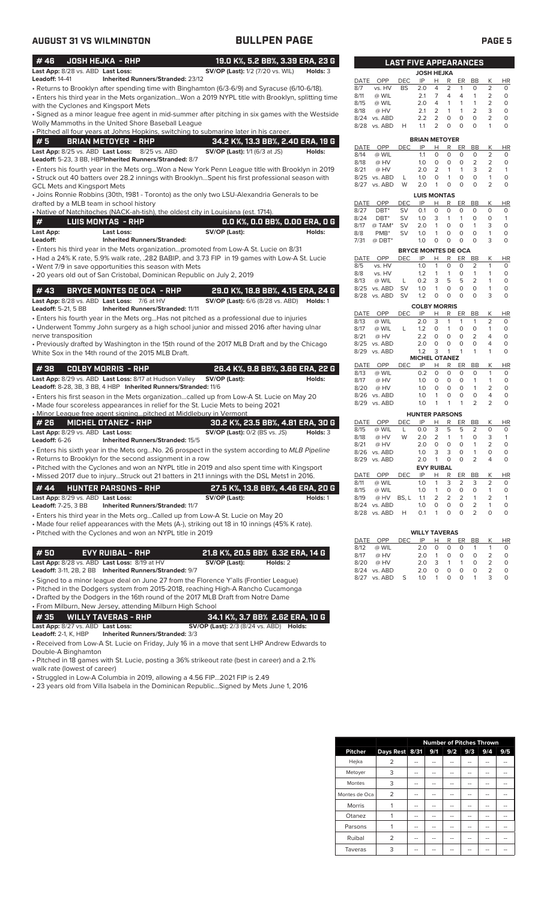| <b>AUGUST 31 VS WILMINGTON</b>                                                                                                                                                                                                                                                                                             | <b>BULLPEN PAGE</b>                                                                                 |                                                                    |                                                                            | <b>PAGE 5</b>                                          |                         |
|----------------------------------------------------------------------------------------------------------------------------------------------------------------------------------------------------------------------------------------------------------------------------------------------------------------------------|-----------------------------------------------------------------------------------------------------|--------------------------------------------------------------------|----------------------------------------------------------------------------|--------------------------------------------------------|-------------------------|
| #46<br><b>JOSH HEJKA - RHP</b>                                                                                                                                                                                                                                                                                             | 19.0 K%, 5.2 BB%, 3.39 ERA, 23 G                                                                    | <b>LAST FIVE APPEARANCES</b>                                       |                                                                            |                                                        |                         |
| Last App: 8/28 vs. ABD Last Loss:                                                                                                                                                                                                                                                                                          | <b>SV/OP (Last):</b> 1/2 (7/20 vs. WIL)<br>Holds: 3                                                 |                                                                    | <b>JOSH HEJKA</b>                                                          |                                                        |                         |
| <b>Leadoff: 14-41</b><br><b>Inherited Runners/Stranded: 23/12</b>                                                                                                                                                                                                                                                          |                                                                                                     | IP<br>DATE OPP<br>DEC                                              | R<br>ER<br>Н                                                               | K<br>BB                                                | <b>HR</b>               |
| • Returns to Brooklyn after spending time with Binghamton (6/3-6/9) and Syracuse (6/10-6/18).                                                                                                                                                                                                                              |                                                                                                     | vs. HV<br>8/7<br><b>BS</b><br>2.0                                  | $\overline{4}$<br>$\overline{2}$<br>$\mathbf{1}$                           | $\Omega$<br>2                                          | $\circ$                 |
|                                                                                                                                                                                                                                                                                                                            | • Enters his third year in the Mets organizationWon a 2019 NYPL title with Brooklyn, splitting time | @ WIL<br>2.1<br>8/11<br>8/15<br>@ WIL<br>2.0                       | $\overline{7}$<br>4<br>$\overline{4}$<br>4<br>$\mathbf{1}$<br>$\mathbf{1}$ | 2<br>$\mathbf{1}$<br>$\overline{2}$<br>$\mathbf{1}$    | $\circ$<br>$\circ$      |
| with the Cyclones and Kingsport Mets                                                                                                                                                                                                                                                                                       | • Signed as a minor league free agent in mid-summer after pitching in six games with the Westside   | 8/18<br>@ HV<br>2.1                                                | 2<br>$\mathbf{1}$<br>1                                                     | $\overline{2}$<br>3                                    | $\circ$                 |
| Wolly Mammoths in the United Shore Baseball League                                                                                                                                                                                                                                                                         |                                                                                                     | 2.2<br>8/24 vs. ABD                                                | 2<br>$\circ$<br>$\circ$                                                    | $\Omega$<br>$\overline{2}$                             | $\circ$                 |
| . Pitched all four years at Johns Hopkins, switching to submarine later in his career.                                                                                                                                                                                                                                     |                                                                                                     | 1.1<br>8/28 vs. ABD<br>H                                           | 2<br>$\Omega$<br>$\Omega$                                                  | $\Omega$<br>$\mathbf{1}$                               | $\circ$                 |
| #5<br><b>BRIAN METOYER - RHP</b>                                                                                                                                                                                                                                                                                           | 34.2 K%, 13.3 BB%, 2.40 ERA, 19 G                                                                   |                                                                    | <b>BRIAN METOYER</b>                                                       |                                                        |                         |
| Last App: 8/25 vs. ABD Last Loss: 8/25 vs. ABD                                                                                                                                                                                                                                                                             | <b>SV/OP (Last):</b> 1/1 (6/3 at JS)<br>Holds:                                                      | OPP<br>DATE<br><b>DEC</b><br>IP<br>8/14<br>1.1<br>@ WIL            | Н<br>R<br>ER<br>$\mathsf O$<br>$\circ$<br>$\circ$                          | К<br>BB<br>$\circ$<br>$\overline{2}$                   | HR<br>$\circ$           |
| Leadoff: 5-23, 3 BB, HBPInherited Runners/Stranded: 8/7                                                                                                                                                                                                                                                                    |                                                                                                     | 8/18<br>@ HV<br>1.0                                                | $\circ$<br>$\circ$<br>0                                                    | 2<br>$\overline{2}$                                    | $\circ$                 |
| • Enters his fourth year in the Mets orgWon a New York Penn League title with Brooklyn in 2019                                                                                                                                                                                                                             |                                                                                                     | 8/21<br>@ HV<br>2.0                                                | 2<br>$\mathbf{1}$<br>$\mathbf{1}$                                          | 3<br>2                                                 | $\overline{1}$          |
| • Struck out 40 batters over 28.2 innings with BrooklynSpent his first professional season with                                                                                                                                                                                                                            |                                                                                                     | 8/25 vs. ABD<br>L<br>1.0<br>W<br>2.0<br>8/27 vs. ABD               | $\circ$<br>$\circ$<br>$\mathbf{1}$<br>$\circ$<br>$\overline{1}$<br>$\circ$ | $\Omega$<br>$\mathbf{1}$<br>$\Omega$<br>$\overline{2}$ | $\circ$<br>$\circ$      |
| <b>GCL Mets and Kingsport Mets</b><br>• Joins Ronnie Robbins (30th, 1981 - Toronto) as the only two LSU-Alexandria Generals to be                                                                                                                                                                                          |                                                                                                     |                                                                    | <b>LUIS MONTAS</b>                                                         |                                                        |                         |
| drafted by a MLB team in school history                                                                                                                                                                                                                                                                                    |                                                                                                     | DATE<br>OPP<br>DEC<br>IP                                           | R<br>H<br>ER                                                               | K<br>BB                                                | <b>HR</b>               |
| . Native of Natchitoches (NACK-ah-tish), the oldest city in Louisiana (est. 1714).                                                                                                                                                                                                                                         |                                                                                                     | 8/27<br>$DBT^*$<br>0.1<br><b>SV</b>                                | $\circ$<br>0<br>$\circ$                                                    | $\circ$<br>$\circ$                                     | $\circ$                 |
| #<br><b>LUIS MONTAS - RHP</b>                                                                                                                                                                                                                                                                                              | 0.0 K%, 0.0 BB%, 0.00 ERA, 0 G                                                                      | 8/24<br>$DBT^*$<br>1.0<br>SV<br>8/17<br><b>SV</b><br>2.0<br>@ TAM* | 3<br>$\mathbf{1}$<br>$\mathbf{1}$<br>$\circ$<br>$\mathbf{1}$<br>$\circ$    | $\circ$<br>$\circ$<br>3<br>$\mathbf{1}$                | $\mathbf{1}$<br>$\circ$ |
| <b>Last Loss:</b><br>Last App:                                                                                                                                                                                                                                                                                             | SV/OP (Last):<br>Holds:                                                                             | PMB <sup>*</sup><br>SV<br>1.0<br>8/8                               | $\circ$<br>$\mathsf O$<br>$\mathbf{1}$                                     | $\circ$<br>$\mathbf{1}$                                | $\circ$                 |
| Leadoff:<br><b>Inherited Runners/Stranded:</b>                                                                                                                                                                                                                                                                             |                                                                                                     | 1.0<br>7/31<br>$@$ DBT*                                            | $\circ$<br>$\mathbf 0$<br>$\mathbf 0$                                      | $\Omega$<br>3                                          | $\circ$                 |
| · Enters his third year in the Mets organizationpromoted from Low-A St. Lucie on 8/31<br>• Had a 24% K rate, 5.9% walk rate, .282 BABIP, and 3.73 FIP in 19 games with Low-A St. Lucie                                                                                                                                     |                                                                                                     | DATE OPP<br>IP<br>DEC                                              | <b>BRYCE MONTES DE OCA</b><br>н<br>R<br>ER                                 | К<br>BB                                                |                         |
| • Went 7/9 in save opportunities this season with Mets                                                                                                                                                                                                                                                                     |                                                                                                     | 1.0<br>8/5<br>vs. HV                                               | $\mathbf{1}$<br>$\circ$<br>$\circ$                                         | 2<br>$\mathbf{1}$                                      | HR<br>$\circ$           |
| • 20 years old out of San Cristobal, Dominican Republic on July 2, 2019                                                                                                                                                                                                                                                    |                                                                                                     | 8/8<br>vs. HV<br>1.2                                               | $\mathbf{1}$<br>$\mathbf{1}$<br>$\circ$                                    | $\mathbf{1}$<br>$\mathbf{1}$                           | $\circ$                 |
|                                                                                                                                                                                                                                                                                                                            |                                                                                                     | L<br>0.2<br>8/13<br>@ WIL<br>8/25 vs. ABD<br><b>SV</b><br>1.0      | 3<br>5<br>5<br>$\mathsf{O}$<br>$\circ$<br>$\mathbf{1}$                     | 2<br>$\mathbf{1}$<br>$\circ$<br>$\mathbf{1}$           | $\circ$<br>$\circ$      |
| #43<br><b>BRYCE MONTES DE OCA - RHP</b>                                                                                                                                                                                                                                                                                    | 29.0 K%, 18.8 BB%, 4.15 ERA, 24 G                                                                   | 8/28 vs. ABD<br><b>SV</b><br>1.2                                   | $\circ$<br>$\Omega$<br>$\circ$                                             | $\Omega$<br>3                                          | $\circ$                 |
| Last App: 8/28 vs. ABD Last Loss: 7/6 at HV<br><b>Leadoff: 5-21, 5 BB</b><br><b>Inherited Runners/Stranded: 11/11</b>                                                                                                                                                                                                      | <b>SV/OP (Last):</b> 6/6 (8/28 vs. ABD) <b>Holds:</b> 1                                             |                                                                    | <b>COLBY MORRIS</b>                                                        |                                                        |                         |
| • Enters his fourth year in the Mets orgHas not pitched as a professional due to injuries                                                                                                                                                                                                                                  |                                                                                                     | IP<br>OPP<br><b>DEC</b><br>DATE<br>@ WIL                           | R<br>н<br>ER<br>3<br>$\mathbf{1}$<br>$\mathbf{1}$                          | K<br>BB<br>$\overline{2}$<br>$\mathbf{1}$              | <b>HR</b><br>$\circ$    |
| • Underwent Tommy John surgery as a high school junior and missed 2016 after having ulnar                                                                                                                                                                                                                                  |                                                                                                     | 8/13<br>2.0<br>8/17<br>@ WIL<br>L<br>1.2                           | $\circ$<br>$\mathbf{1}$<br>$\circ$                                         | $\circ$<br>$\mathbf{1}$                                | $\circ$                 |
| nerve transposition                                                                                                                                                                                                                                                                                                        |                                                                                                     | 8/21<br>@ HV<br>2.2                                                | $\circ$<br>$\circ$<br>0                                                    | $\overline{2}$<br>4                                    | $\circ$                 |
| • Previously drafted by Washington in the 15th round of the 2017 MLB Draft and by the Chicago                                                                                                                                                                                                                              |                                                                                                     | 8/25 vs. ABD<br>2.0<br>1.2<br>8/29 vs. ABD                         | $\circ$<br>$\Omega$<br>$\Omega$<br>3<br>$\mathbf{1}$<br>$\mathbf{1}$       | $\Omega$<br>4<br>$\mathbf{1}$<br>$\mathbf{1}$          | $\mathsf O$<br>$\circ$  |
| White Sox in the 14th round of the 2015 MLB Draft.                                                                                                                                                                                                                                                                         |                                                                                                     |                                                                    | <b>MICHEL OTANEZ</b>                                                       |                                                        |                         |
| #38<br><b>COLBY MORRIS - RHP</b>                                                                                                                                                                                                                                                                                           | 26.4 K%, 9.8 BB%, 3.66 ERA, 22 G                                                                    | DATE<br>OPP<br>DEC<br>IP                                           | Н<br>R<br>ER<br>$\circ$<br>$\circ$<br>$\circ$                              | К<br>BB<br>$\Omega$<br>$\mathbf{1}$                    | <b>HR</b><br>$\circ$    |
| Last App: 8/29 vs. ABD Last Loss: 8/17 at Hudson Valley                                                                                                                                                                                                                                                                    | SV/OP (Last):<br>Holds:                                                                             | 8/13<br>@ WIL<br>0.2<br>8/17<br>@ HV<br>1.0                        | $\circ$<br>$\circ$<br>$\circ$                                              | $\mathbf{1}$<br>$\mathbf{1}$                           | $\circ$                 |
| Leadoff: 8-28, 3B, 3 BB, 4 HBP Inherited Runners/Stranded: 11/6                                                                                                                                                                                                                                                            |                                                                                                     | 8/20<br>@ HV<br>1.0                                                | $\circ$<br>$\mathbf 0$<br>$\circ$                                          | $\mathbf{1}$<br>2                                      | 0                       |
| • Enters his first season in the Mets organizationcalled up from Low-A St. Lucie on May 20                                                                                                                                                                                                                                 |                                                                                                     | 8/26 vs. ABD<br>1.0                                                | $\overline{1}$<br>0<br>0                                                   | 0<br>4                                                 | 0<br>$\circ$            |
| • Made four scoreless appearances in relief for the St. Lucie Mets to being 2021                                                                                                                                                                                                                                           |                                                                                                     | 8/29 vs. ABD                                                       | $\overline{1}$<br>$\overline{1}$<br>$1.0 \t1$                              | $\overline{2}$<br>2                                    |                         |
| . Minor League free agent signing pitched at Middlebury in Vermont<br>#26<br><b>MICHEL OTANEZ - RHP</b>                                                                                                                                                                                                                    | 30.2 K%, 23.5 BB%, 4.81 ERA, 30 G                                                                   | OPP<br>DATE<br>DEC<br>IP                                           | <b>HUNTER PARSONS</b><br>$\mathsf{R}$<br>ER<br><u>н</u>                    | K<br>BB                                                | HR                      |
| Last App: 8/29 vs. ABD Last Loss:                                                                                                                                                                                                                                                                                          | <b>SV/OP (Last):</b> 0/2 (BS vs. JS)<br>Holds: 3                                                    | 0.0<br>8/15<br>@ WIL<br>L                                          | 3<br>5<br>5                                                                | 2<br>0                                                 | 0                       |
| Leadoff: 6-26<br>Inherited Runners/Stranded: 15/5                                                                                                                                                                                                                                                                          |                                                                                                     | 2.0<br>8/18<br>@ HV<br>W                                           | $\overline{2}$<br>1<br>1                                                   | 3<br>0                                                 | $\mathbf{1}$            |
| • Enters his sixth year in the Mets org No. 26 prospect in the system according to MLB Pipeline                                                                                                                                                                                                                            |                                                                                                     | 8/21<br>2.0<br>@ HV<br>8/26 vs. ABD<br>1.0                         | $\circ$<br>$\mathbf 0$<br>0<br>3<br>3<br>0                                 | $\mathbf{1}$<br>2<br>$\mathbf{1}$<br>0                 | $\circ$<br>$\circ$      |
| • Returns to Brooklyn for the second assignment in a row                                                                                                                                                                                                                                                                   |                                                                                                     | 8/29 vs. ABD<br>2.0                                                | $\mathsf{O}\xspace$<br>$\mathsf O$<br>$\mathbf{1}$                         | $\overline{2}$<br>4                                    | $\circ$                 |
| • Pitched with the Cyclones and won an NYPL title in 2019 and also spent time with Kingsport                                                                                                                                                                                                                               |                                                                                                     |                                                                    | <b>EVY RUIBAL</b>                                                          |                                                        |                         |
| . Missed 2017 due to injuryStruck out 21 batters in 21.1 innings with the DSL Mets1 in 2016.                                                                                                                                                                                                                               |                                                                                                     | IP<br>DATE<br>OPP<br><b>DEC</b><br>8/11<br>@ WIL<br>1.0            | н<br>R<br>ER<br>$\mathbf{1}$<br>3<br>$\overline{2}$                        | BB<br>Κ<br>$\overline{2}$<br>3                         | <b>HR</b><br>0          |
| #44<br><b>HUNTER PARSONS - RHP</b>                                                                                                                                                                                                                                                                                         | 27.5 K%, 13.8 BB%, 4.46 ERA, 20 G                                                                   | 8/15<br>@ WIL<br>1.0                                               | 0<br>$\mathsf O$<br>$\mathbf{1}$                                           | 0<br>1                                                 | $\circ$                 |
| Last App: 8/29 vs. ABD Last Loss:                                                                                                                                                                                                                                                                                          | SV/OP (Last):<br>Holds: 1                                                                           | 8/19<br>@ HV<br>BS, L<br>1.1<br>8/24 vs. ABD<br>1.0                | $\overline{2}$<br>2<br>$\overline{2}$<br>$\mathbf 0$<br>0<br>$\circ$       | $\mathbf{1}$<br>2<br>$\overline{2}$<br>$\mathbf{1}$    | $\mathbf{1}$<br>$\circ$ |
| <b>Leadoff: 7-25, 3 BB</b><br><b>Inherited Runners/Stranded: 11/7</b>                                                                                                                                                                                                                                                      |                                                                                                     | 0.1<br>8/28 vs. ABD<br>H                                           | $\mathbf{1}$<br>0<br>$\circ$                                               | 2<br>$\circ$                                           | $\circ$                 |
| • Enters his third year in the Mets orgCalled up from Low-A St. Lucie on May 20<br>• Made four relief appearances with the Mets (A-), striking out 18 in 10 innings (45% K rate).<br>• Pitched with the Cyclones and won an NYPL title in 2019                                                                             |                                                                                                     |                                                                    | <b>WILLY TAVERAS</b>                                                       |                                                        |                         |
|                                                                                                                                                                                                                                                                                                                            |                                                                                                     | DATE<br>OPP<br>DEC<br>IP<br>8/12<br>@ WIL<br>2.0                   | R<br>ER<br><u>H</u><br>$\mathsf O$<br>0<br>0                               | Κ<br>BB<br>$\mathbf{1}$<br>1                           | HR<br>0                 |
| #50<br><b>EVY RUIBAL - RHP</b>                                                                                                                                                                                                                                                                                             | 21.8 K%, 20.5 BB% 6.32 ERA, 14 G                                                                    | 8/17<br>@ HV<br>2.0                                                | $\mathbf 0$<br>$\mathbf{1}$<br>0                                           | $\overline{2}$<br>0                                    | $\mathsf O$             |
| Last App: 8/28 vs. ABD Last Loss: 8/19 at HV                                                                                                                                                                                                                                                                               | SV/OP (Last):<br>Holds: 2                                                                           | 8/20<br>@ HV<br>2.0                                                | 3<br>$\mathbf{1}$<br>1                                                     | 2<br>0                                                 | $\circ$                 |
| Leadoff: 3-11, 2B, 2 BB Inherited Runners/Stranded: 9/7                                                                                                                                                                                                                                                                    |                                                                                                     | 8/24 vs. ABD<br>2.0<br>S<br>8/27 vs. ABD<br>1.0                    | 0<br>$\mathsf{O}\xspace$<br>0<br>0<br>$\mathbf 0$<br>$\mathbf{1}$          | 0<br>$\overline{2}$<br>3<br>$\mathbf{1}$               | $\circ$<br>$\circ$      |
| · Signed to a minor league deal on June 27 from the Florence Y'alls (Frontier League)<br>• Pitched in the Dodgers system from 2015-2018, reaching High-A Rancho Cucamonga<br>• Drafted by the Dodgers in the 16th round of the 2017 MLB Draft from Notre Dame<br>• From Milburn, New Jersey, attending Milburn High School |                                                                                                     |                                                                    |                                                                            |                                                        |                         |

**# 35 WILLY TAVERAS - RHP 34.1 K%, 3.7 BB% 2.62 ERA, 10 G Last App:** 8/27 vs. ABD **Last Loss: SV/OP (Last):** 2/3 (8/24 vs. ABD) **Holds:**

**Leadoff:** 2-1, K, HBP **Inherited Runners/Stranded:** 3/3

• Received from Low-A St. Lucie on Friday, July 16 in a move that sent LHP Andrew Edwards to Double-A Binghamton

• Pitched in 18 games with St. Lucie, posting a 36% strikeout rate (best in career) and a 2.1% walk rate (lowest of career)

• Struggled in Low-A Columbia in 2019, allowing a 4.56 FIP...2021 FIP is 2.49

• 23 years old from Villa Isabela in the Dominican Republic...Signed by Mets June 1, 2016

|                | <b>Number of Pitches Thrown</b> |    |     |     |     |     |     |
|----------------|---------------------------------|----|-----|-----|-----|-----|-----|
| <b>Pitcher</b> | Days Rest 8/31                  |    | 9/1 | 9/2 | 9/3 | 9/4 | 9/5 |
| Hejka          | 2                               |    |     |     |     |     |     |
| Metoyer        | 3                               | -- | --  | --  | --  | --  |     |
| Montes         | 3                               | -- |     |     | --  |     |     |
| Montes de Oca  | $\overline{2}$                  | -- |     | --  | --  |     |     |
| Morris         |                                 |    |     |     |     |     |     |
| Otanez         |                                 | -- |     |     |     |     |     |
| Parsons        |                                 | -- |     | --  | --  |     |     |
| Ruibal         | 2                               | -- |     | --  | --  | --  |     |
| Taveras        | 3                               |    |     |     |     |     |     |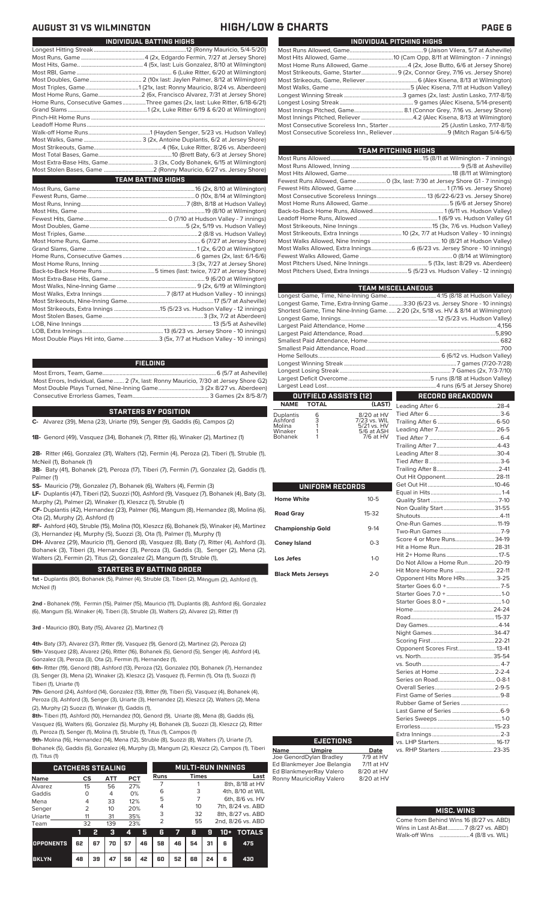| INDIVIDUAL PITCHING HIGHS                                                 |
|---------------------------------------------------------------------------|
|                                                                           |
|                                                                           |
| Most Home Runs Allowed, Game 4 (2x, Jose Butto, 6/6 at Jersey Shore)      |
| Most Strikeouts, Game, Starter 9 (2x, Connor Grey, 7/16 vs. Jersey Shore) |
|                                                                           |
|                                                                           |
|                                                                           |
|                                                                           |
|                                                                           |
|                                                                           |
|                                                                           |
|                                                                           |
|                                                                           |

**TEAM PITCHING HIGHS**

| I CAM PHUNING NIGHS                                                                 |
|-------------------------------------------------------------------------------------|
|                                                                                     |
|                                                                                     |
| Most Hits Allowed, Game……………………………………………………………………………18 (8/11 at Wilmington)         |
| Fewest Runs Allowed, Game 0 (3x, last: 7/30 at Jersey Shore G1 - 7 innings)         |
|                                                                                     |
|                                                                                     |
|                                                                                     |
|                                                                                     |
|                                                                                     |
|                                                                                     |
|                                                                                     |
|                                                                                     |
|                                                                                     |
|                                                                                     |
| Most Pitchers Used, Nine Innings…………………………………………………5 (13x, last: 8/29 vs. Aberdeen) |
| Most Pitchers Used, Extra Innings 5 (5/23 vs. Hudson Valley - 12 innings)           |
|                                                                                     |

| <b>TEAM MISCELLANEOUS</b>                                                          |                         |
|------------------------------------------------------------------------------------|-------------------------|
| Longest Game, Time, Nine-Inning Game 4:15 (8/18 at Hudson Valley)                  |                         |
| Longest Game, Time, Extra-Inning Game3:30 (6/23 vs. Jersey Shore - 10 innings)     |                         |
| Shortest Game, Time Nine-Inning Game.  2:20 (2x, 5/18 vs. HV & 8/14 at Wilmington) |                         |
|                                                                                    |                         |
|                                                                                    |                         |
|                                                                                    |                         |
|                                                                                    |                         |
|                                                                                    |                         |
|                                                                                    |                         |
|                                                                                    |                         |
|                                                                                    |                         |
|                                                                                    |                         |
|                                                                                    |                         |
| <b>OUTFIELD ASSISTS [12]</b>                                                       | <b>RECORD BREAKDOWN</b> |

### **OUTFIELD ASSISTS (12) TOTAL** Leading After 6........................................28-4

| <b>Duplantis</b><br>Ashford<br>Molina | 6<br>3 | 8/20 at HV<br>7/23 vs. WIL<br>5/21 vs. HV |
|---------------------------------------|--------|-------------------------------------------|
| Winaker                               |        | 5/6 at ASH                                |
| <b>Bohanek</b>                        |        | 7/6 at HV                                 |

| UNIFORM RECORDS           |              |  |
|---------------------------|--------------|--|
| Home White                | $10 - 5$     |  |
| <b>Road Gray</b>          | $15-32$      |  |
| <b>Championship Gold</b>  | $9 - 14$     |  |
| <b>Coney Island</b>       | $0 - 3$      |  |
| Los Jefes                 | $1 - \Omega$ |  |
| <b>Black Mets Jerseys</b> | $2 - 0$      |  |

| Score 4 or More Runs 34-19   |  |
|------------------------------|--|
|                              |  |
|                              |  |
| Do Not Allow a Home Run20-19 |  |
| Hit More Home Runs  22-11    |  |
| Opponent Hits More HRs3-25   |  |
|                              |  |
|                              |  |
|                              |  |
|                              |  |
|                              |  |
|                              |  |
|                              |  |
|                              |  |
| Opponent Scores First 13-41  |  |
|                              |  |
|                              |  |
|                              |  |
|                              |  |
|                              |  |
|                              |  |
|                              |  |
| Last Game of Series  6-9     |  |
|                              |  |
|                              |  |
|                              |  |
|                              |  |
|                              |  |
|                              |  |

### **MISC. WINS**

| Come from Behind Wins 16 (8/27 vs. ABD) |
|-----------------------------------------|
| Wins in Last At-Bat7 (8/27 vs. ABD)     |
| Walk-off Wins 4 (8/8 vs. WIL)           |

## **AUGUST 31 VS WILMINGTON HIGH/LOW & CHARTS PAGE 6**

| INDIVIDUAL BATTING HIGHS                                                    |
|-----------------------------------------------------------------------------|
|                                                                             |
|                                                                             |
|                                                                             |
|                                                                             |
|                                                                             |
|                                                                             |
|                                                                             |
| Home Runs, Consecutive Games Three games (2x, last: Luke Ritter, 6/18-6/21) |
|                                                                             |
|                                                                             |
|                                                                             |
|                                                                             |
|                                                                             |
|                                                                             |
|                                                                             |
| Most Extra-Base Hits, Game 3 (3x, Cody Bohanek, 6/15 at Wilmington)         |
|                                                                             |
| <b>TEAM BATTING HIGHS</b>                                                   |
|                                                                             |
|                                                                             |
|                                                                             |
|                                                                             |
|                                                                             |
|                                                                             |
|                                                                             |
|                                                                             |
|                                                                             |
|                                                                             |
|                                                                             |
|                                                                             |
|                                                                             |
|                                                                             |
|                                                                             |
|                                                                             |
|                                                                             |
|                                                                             |
|                                                                             |

LOB, Extra Innings........................................................13 (6/23 vs. Jersey Shore - 10 innings) .3 (5x, 7/7 at Hudson Valley - 10 innings)

### **FIELDING**

Most Errors, Team, Game...............................................................................6 (5/7 at Asheville) Most Errors, Individual, Game....... 2 (7x, last: Ronny Mauricio, 7/30 at Jersey Shore G2) Most Double Plays Turned, Nine-Inning Game.............................3 (2x 8/27 vs. Aberdeen) Consecutive Errorless Games, Team...

### **STARTERS BY POSITION**

**C-** Alvarez (39), Mena (23), Uriarte (19), Senger (9), Gaddis (6), Campos (2)

**1B-** Genord (49), Vasquez (34), Bohanek (7), Ritter (6), Winaker (2), Martinez (1)

**2B-** Ritter (46), Gonzalez (31), Walters (12), Fermin (4), Peroza (2), Tiberi (1), Struble (1), McNeil (1), Bohanek (1)

**3B-** Baty (41), Bohanek (21), Peroza (17), Tiberi (7), Fermin (7), Gonzalez (2), Gaddis (1), Palmer (1)

**SS-** Mauricio (79), Gonzalez (7), Bohanek (6), Walters (4), Fermin (3)

**LF-** Duplantis (47), Tiberi (12), Suozzi (10), Ashford (9), Vasquez (7), Bohanek (4), Baty (3), Murphy (2), Palmer (2), Winaker (1), Kleszcz (1), Struble (1)

**CF-** Duplantis (42), Hernandez (23), Palmer (16), Mangum (8), Hernandez (8), Molina (6), Ota (2), Murphy (2), Ashford (1)

**RF-** Ashford (40), Struble (15), Molina (10), Kleszcz (6), Bohanek (5), Winaker (4), Martinez (3), Hernandez (4), Murphy (5), Suozzi (3), Ota (1), Palmer (1), Murphy (1)

**DH-** Alvarez (29), Mauricio (11), Genord (8), Vasquez (8), Baty (7), Ritter (4), Ashford (3), Bohanek (3), Tiberi (3), Hernandez (3), Peroza (3), Gaddis (3), Senger (2), Mena (2), Walters (2), Fermin (2), Titus (2), Gonzalez (2), Mangum (1), Struble (1),

### **STARTERS BY BATTING ORDER**

**1st -** Duplantis (80), Bohanek (5), Palmer (4), Struble (3), Tiberi (2), Mangum (2), Ashford (1), McNeil (1)

**2nd -** Bohanek (19), Fermin (15), Palmer (15), Mauricio (11), Duplantis (8), Ashford (6), Gonzalez (6), Mangum (5), Winaker (4), Tiberi (3), Struble (3), Walters (2), Alvarez (2), Ritter (1)

**3rd -** Mauricio (80), Baty (15), Alvarez (2), Martinez (1)

**4th-** Baty (37), Alvarez (37), Ritter (9), Vasquez (9), Genord (2), Martinez (2), Peroza (2) **5th-** Vasquez (28), Alvarez (26), Ritter (16), Bohanek (5), Genord (5), Senger (4), Ashford (4), Gonzalez (3), Peroza (3), Ota (2), Fermin (1), Hernandez (1),

**6th-** Ritter (19), Genord (18), Ashford (13), Peroza (12), Gonzalez (10), Bohanek (7), Hernandez (3), Senger (3), Mena (2), Winaker (2), Kleszcz (2), Vasquez (1), Fermin (1), Ota (1), Suozzi (1) Tiberi (1), Uriarte (1)

**7th-** Genord (24), Ashford (14), Gonzalez (13), Ritter (9), Tiberi (5), Vasquez (4), Bohanek (4), Peroza (3), Ashford (3), Senger (3), Uriarte (3), Hernandez (2), Kleszcz (2), Walters (2), Mena (2), Murphy (2) Suozzi (1), Winaker (1), Gaddis (1),

**8th-** Tiberi (11), Ashford (10), Hernandez (10), Genord (9), Uriarte (8), Mena (8), Gaddis (6), Vasquez (6), Walters (6), Gonzalez (5), Murphy (4), Bohanek (3), Suozzi (3), Kleszcz (2), Ritter (1), Peroza (1), Senger (1), Molina (1), Struble (1), Titus (1), Campos (1)

**9th-** Molina (16), Hernandez (14), Mena (12), Struble (8), Suozzi (8), Walters (7), Uriarte (7), Bohanek (5), Gaddis (5), Gonzalez (4), Murphy (3), Mangum (2), Kleszcz (2), Campos (1), Tiberi

| (1), Titus (1)           |               |    |           |     |           |                |    |                          |    |       |                   |  |                 |
|--------------------------|---------------|----|-----------|-----|-----------|----------------|----|--------------------------|----|-------|-------------------|--|-----------------|
| <b>CATCHERS STEALING</b> |               |    |           |     |           |                |    | <b>MULTI-RUN INNINGS</b> |    |       |                   |  |                 |
| <b>Name</b>              | CS            |    | ATT       | PCT |           | Runs           |    | <b>Times</b>             |    |       | Last              |  |                 |
| Alvarez                  | 15            |    | 56        | 27% |           |                |    |                          |    |       | 8th, 8/18 at HV   |  |                 |
| Gaddis                   | Ω             |    | 4         | 0%  |           | 6              |    | 3                        |    |       | 4th, 8/10 at WIL  |  |                 |
|                          |               |    | Mena<br>4 |     | 12%<br>33 |                |    | 5                        |    |       |                   |  | 6th, 8/6 vs. HV |
| Senger                   | $\mathcal{P}$ |    | 10        | 20% |           | 4              |    | 10                       |    |       | 7th, 8/24 vs. ABD |  |                 |
| Uriarte                  | 11            |    | 31        | 35% |           | 3              |    | 32                       |    |       | 8th, 8/27 vs. ABD |  |                 |
| Team                     | 32            |    | 139       | 23% |           | $\overline{2}$ |    | 55                       |    |       | 2nd, 8/26 vs. ABD |  |                 |
|                          | 11            | 2  | з         | 4   | 5         | 6              | 7  | 8                        | я  | $10+$ | <b>TOTALS</b>     |  |                 |
| <b>OPPONENTS</b>         | 62            | 67 | 70        | 57  | 46        | 58             | 46 | 54                       | 31 | 6     | 475               |  |                 |

**BKLYN 48 39 47 56 42 60 52 68 24 6 430**

**EJECTIONS**

**Name Umpire Date** Joe GenordDylan Bradley 7/9 at HV Ed Blankmeyer Joe Belangia 7/11 at HV Ed BlankmeyerRay Valero 8/20 at HV<br>Ronny MauricioRay Valero 8/20 at HV Ronny MauricioRay Valero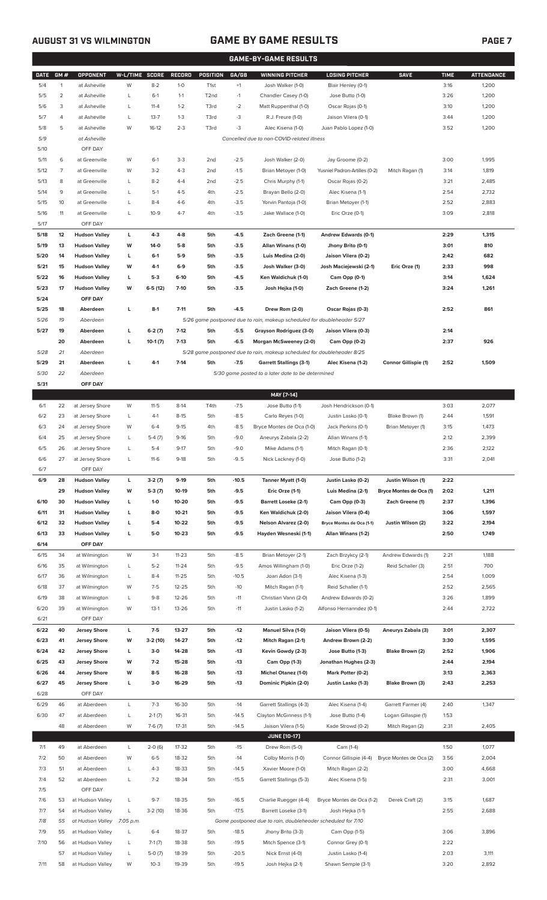## **AUGUST 31 VS WILMINGTON GAME BY GAME RESULTS**

|              | GAME-BY-GAME RESULTS |                                      |                |                      |                    |                        |                    |                                                                         |                                        |                                              |              |                   |
|--------------|----------------------|--------------------------------------|----------------|----------------------|--------------------|------------------------|--------------------|-------------------------------------------------------------------------|----------------------------------------|----------------------------------------------|--------------|-------------------|
| <b>DATE</b>  | GM#                  | OPPONENT                             | W-L/TIME SCORE |                      | <b>RECORD</b>      | <b>POSITION</b>        | GA/GB              | <b>WINNING PITCHER</b>                                                  | <b>LOSING PITCHER</b>                  | <b>SAVE</b>                                  | <b>TIME</b>  | <b>ATTENDANCE</b> |
| 5/4          | 1                    | at Asheville                         | W              | $8 - 2$              | $1-0$              | T <sub>1st</sub>       | $+1$               | Josh Walker (1-0)                                                       | Blair Henley (0-1)                     |                                              | 3:16         | 1,200             |
| 5/5          | 2                    | at Asheville                         | L              | $6-1$                | $1 - 1$            | T <sub>2</sub> nd      | $-1$               | Chandler Casey (1-0)                                                    | Jose Butto (1-0)                       |                                              | 3:26         | 1,200             |
| 5/6          | 3                    | at Asheville                         | L              | $11 - 4$             | $1 - 2$            | T3rd                   | $-2$               | Matt Ruppenthal (1-0)                                                   | Oscar Rojas (0-1)                      |                                              | 3:10         | 1,200             |
| 5/7          | 4                    | at Asheville                         | L              | $13 - 7$             | $1 - 3$            | T3rd                   | -3                 | R.J. Freure (1-0)                                                       | Jaison Vilera (0-1)                    |                                              | 3:44         | 1,200             |
| 5/8          | 5                    | at Asheville                         | W              | $16-12$              | $2 - 3$            | T3rd                   | $-3$               | Alec Kisena (1-0)                                                       | Juan Pablo Lopez (1-0)                 |                                              | 3:52         | 1,200             |
| 5/9          |                      | at Asheville                         |                |                      |                    |                        |                    | Cancelled due to non-COVID-related illness                              |                                        |                                              |              |                   |
| 5/10         |                      | OFF DAY                              |                |                      |                    |                        |                    |                                                                         |                                        |                                              |              |                   |
| 5/11         | 6                    | at Greenville                        | W              | $6-1$                | $3 - 3$            | 2 <sub>nd</sub>        | $-2.5$             | Josh Walker (2-0)                                                       | Jay Groome (0-2)                       |                                              | 3:00         | 1,995             |
| 5/12         | 7<br>8               | at Greenville                        | W<br>L         | $3 - 2$<br>$8 - 2$   | $4 - 3$<br>$4 - 4$ | 2nd                    | $-1.5$             | Brian Metoyer (1-0)                                                     | Yusniel Padron-Artilles (0-2)          | Mitch Ragan (1)                              | 3:14<br>3:21 | 1,819             |
| 5/13<br>5/14 | 9                    | at Greenville<br>at Greenville       | L              | $5-1$                | $4 - 5$            | 2 <sub>nd</sub><br>4th | $-2.5$<br>$-2.5$   | Chris Murphy (1-1)<br>Brayan Bello (2-0)                                | Oscar Rojas (0-2)<br>Alec Kisena (1-1) |                                              | 2:54         | 2,485<br>2,732    |
| 5/15         | 10                   | at Greenville                        | L              | $8 - 4$              | $4-6$              | 4th                    | $-3.5$             | Yorvin Pantoja (1-0)                                                    | Brian Metoyer (1-1)                    |                                              | 2:52         | 2,883             |
| 5/16         | 11                   | at Greenville                        | L              | $10 - 9$             | $4 - 7$            | 4th                    | $-3.5$             | Jake Wallace (1-0)                                                      | Eric Orze (0-1)                        |                                              | 3:09         | 2,818             |
| 5/17         |                      | OFF DAY                              |                |                      |                    |                        |                    |                                                                         |                                        |                                              |              |                   |
| 5/18         | 12                   | <b>Hudson Valley</b>                 | L              | $4-3$                | $4 - 8$            | 5th                    | $-4.5$             | Zach Greene (1-1)                                                       | Andrew Edwards (0-1)                   |                                              | 2:29         | 1,315             |
| 5/19         | 13                   | <b>Hudson Valley</b>                 | W              | $14-0$               | $5-8$              | 5th                    | $-3.5$             | Allan Winans (1-0)                                                      | Jhony Brito (0-1)                      |                                              | 3:01         | 810               |
| 5/20         | 14                   | <b>Hudson Valley</b>                 | L              | $6-1$                | $5-9$              | 5th                    | $-3.5$             | Luis Medina (2-0)                                                       | Jaison Vilera (0-2)                    |                                              | 2:42         | 682               |
| 5/21         | 15                   | <b>Hudson Valley</b>                 | W              | 4-1                  | $6-9$              | 5th                    | $-3.5$             | Josh Walker (3-0)                                                       | Josh Maciejewski (2-1)                 | Eric Orze (1)                                | 2:33         | 998               |
| 5/22         | 16                   | <b>Hudson Valley</b>                 | L              | $5-3$                | $6-10$             | 5th                    | $-4.5$             | Ken Waldichuk (1-0)                                                     | Cam Opp (0-1)                          |                                              | 3:14         | 1,624             |
| 5/23         | 17                   | <b>Hudson Valley</b>                 | W              | $6-5(12)$            | $7 - 10$           | 5th                    | $-3.5$             | Josh Hejka (1-0)                                                        | Zach Greene (1-2)                      |                                              | 3:24         | 1,261             |
| 5/24         |                      | OFF DAY                              |                |                      |                    |                        |                    |                                                                         |                                        |                                              |              |                   |
| 5/25         | 18                   | Aberdeen                             | г              | $8-1$                | $7 - 11$           | 5th                    | $-4.5$             | Drew Rom (2-0)                                                          | Oscar Rojas (0-3)                      |                                              | 2:52         | 861               |
| 5/26         | 19                   | Aberdeen                             |                |                      |                    |                        |                    | 5/26 game postponed due to rain, makeup scheduled for doubleheader 5/27 |                                        |                                              |              |                   |
| 5/27         | 19                   | Aberdeen                             | L              | $6-2(7)$             | $7-12$             | 5th                    | $-5.5$             | Grayson Rodriguez (3-0)                                                 | Jaison Vilera (0-3)                    |                                              | 2:14         |                   |
|              | 20                   | Aberdeen                             | L              | $10-1(7)$            | $7-13$             | 5th                    | $-6.5$             | Morgan McSweeney (2-0)                                                  | Cam Opp (0-2)                          |                                              | 2:37         | 926               |
| 5/28         | 21                   | Aberdeen                             |                |                      |                    |                        |                    | 5/28 game postponed due to rain, makeup scheduled for doubleheader 8/25 |                                        |                                              |              |                   |
| 5/29         | 21                   | Aberdeen                             | г              | $4-1$                | $7-14$             | 5th                    | $-7.5$             | <b>Garrett Stallings (3-1)</b>                                          | Alec Kisena (1-2)                      | Connor Gillispie (1)                         | 2:52         | 1,509             |
| 5/30         | 22                   | Aberdeen                             |                |                      |                    |                        |                    | 5/30 game posted to a later date to be determined                       |                                        |                                              |              |                   |
| 5/31         |                      | OFF DAY                              |                |                      |                    |                        |                    |                                                                         |                                        |                                              |              |                   |
|              |                      |                                      |                |                      |                    |                        |                    | MAY [7-14]                                                              |                                        |                                              |              |                   |
| 6/1          | 22                   | at Jersey Shore                      | W              | $11-5$               | $8-14$             | T4th                   | $-7.5$             | Jose Butto (1-1)                                                        | Josh Hendrickson (0-1)                 |                                              | 3:03         | 2,077             |
| 6/2          | 23                   | at Jersey Shore                      | L              | $4-1$                | $8 - 15$           | 5th                    | $-8.5$             | Carlo Reyes (1-0)                                                       | Justin Lasko (0-1)                     | Blake Brown (1)                              | 2:44         | 1,591             |
| 6/3          | 24                   | at Jersey Shore                      | W              | $6 - 4$              | $9 - 15$           | 4th                    | $-8.5$             | Bryce Montes de Oca (1-0)                                               | Jack Perkins (0-1)                     | Brian Metoyer (1)                            | 3:15         | 1,473             |
| 6/4          | 25                   | at Jersey Shore                      | L              | $5-4(7)$             | $9-16$             | 5th                    | $-9.0$             | Aneurys Zabala (2-2)                                                    | Allan Winans (1-1)                     |                                              | 2:12         | 2,399             |
| 6/5          | 26                   | at Jersey Shore                      | L              | $5 - 4$              | $9-17$             | 5th                    | $-9.0$             | Mike Adams (1-1)                                                        | Mitch Ragan (0-1)                      |                                              | 2:36         | 2,122             |
| 6/6          | 27                   | at Jersey Shore                      |                | $11-6$               | 9-18               | 5th                    | -95                | Nick Lackney (1-0)                                                      | Jose Butto (1-2)                       |                                              | 3:31         | 2,041             |
| 6/7<br>6/9   | 28                   | OFF DAY<br><b>Hudson Valley</b>      | L              |                      | $9-19$             |                        | $-10.5$            |                                                                         | Justin Lasko (0-2)                     |                                              | 2:22         |                   |
|              | 29                   | <b>Hudson Valley</b>                 | W              | $3-2(7)$<br>$5-3(7)$ | 10-19              | 5th<br>5th             | $-9.5$             | Tanner Myatt (1-0)<br>Eric Orze (1-1)                                   | Luis Medina (2-1)                      | Justin Wilson (1)<br>Bryce Montes de Oca (1) | 2:02         | 1,211             |
| 6/10         | 30                   | <b>Hudson Valley</b>                 | L              | $1 - 0$              | 10-20              | 5th                    | $-9.5$             | <b>Barrett Loseke (2-1)</b>                                             | Cam Opp (0-3)                          | Zach Greene (1)                              | 2:37         | 1,396             |
| 6/11         | 31                   | <b>Hudson Valley</b>                 | L              | $8-0$                | $10 - 21$          | 5th                    | $-9.5$             | Ken Waldichuk (2-0)                                                     | Jaison Vilera (0-4)                    |                                              | 3:06         | 1,597             |
| 6/12         | 32                   | <b>Hudson Valley</b>                 | г              | $5-4$                | 10-22              | 5th                    | $-9.5$             | Nelson Alvarez (2-0)                                                    | Bryce Montes de Oca (1-1)              | Justin Wilson (2)                            | 3:22         | 2,194             |
| 6/13         | 33                   | <b>Hudson Valley</b>                 | L              | $5-0$                | $10 - 23$          | 5th                    | $-9.5$             | Hayden Wesneski (1-1)                                                   | Allan Winans (1-2)                     |                                              | 2:50         | 1,749             |
| 6/14         |                      | OFF DAY                              |                |                      |                    |                        |                    |                                                                         |                                        |                                              |              |                   |
| 6/15         | 34                   | at Wilmington                        | W              | $3-1$                | $11 - 23$          | 5th                    | $-8.5$             | Brian Metoyer (2-1)                                                     | Zach Brzykcy (2-1)                     | Andrew Edwards (1)                           | 2:21         | 1,188             |
| 6/16         | 35                   | at Wilmington                        | L              | $5 - 2$              | $11 - 24$          | 5th                    | $-9.5$             | Amos Willingham (1-0)                                                   | Eric Orze (1-2)                        | Reid Schaller (3)                            | 2:51         | 700               |
| 6/17         | 36                   | at Wilmington                        | L              | $8 - 4$              | $11 - 25$          | 5th                    | $-10.5$            | Joan Adon (3-1)                                                         | Alec Kisena (1-3)                      |                                              | 2:54         | 1,009             |
| 6/18         | 37                   | at Wilmington                        | W              | $7-5$                | 12-25              | 5th                    | $-10$              | Mitch Ragan (1-1)                                                       | Reid Schaller (1-1)                    |                                              | 2:52         | 2,565             |
| 6/19         | 38                   | at Wilmington                        | L              | $9 - 8$              | 12-26              | 5th                    | $-11$              | Christian Vann (2-0)                                                    | Andrew Edwards (0-2)                   |                                              | 3:26         | 1,899             |
| 6/20         | 39                   | at Wilmington                        | W              | $13-1$               | 13-26              | 5th                    | $-11$              | Justin Lasko (1-2)                                                      | Alfonso Hernanndez (0-1)               |                                              | 2:44         | 2,722             |
| 6/21         |                      | OFF DAY                              |                |                      |                    |                        |                    |                                                                         |                                        |                                              |              |                   |
| 6/22         | 40                   | <b>Jersey Shore</b>                  | L              | $7-5$                | 13-27              | 5th                    | $-12$              | Manuel Silva (1-0)                                                      | Jaison Vilera (0-5)                    | Aneurys Zabala (3)                           | 3:01         | 2,307             |
| 6/23         | 41                   | <b>Jersey Shore</b>                  | W              | $3-2(10)$            | 14-27              | 5th                    | $-12$              | Mitch Ragan (2-1)                                                       | Andrew Brown (2-2)                     |                                              | 3:30         | 1,595             |
| 6/24         | 42                   | <b>Jersey Shore</b>                  | L              | $3-0$                | 14-28              | 5th                    | $-13$              | Kevin Gowdy (2-3)                                                       | Jose Butto (1-3)                       | Blake Brown (2)                              | 2:52         | 1,906             |
| 6/25         | 43                   | <b>Jersey Shore</b>                  | W              | $7-2$                | 15-28              | 5th                    | $-13$              | Cam Opp (1-3)                                                           | Jonathan Hughes (2-3)                  |                                              | 2:44         | 2,194             |
| 6/26         | 44                   | <b>Jersey Shore</b>                  | W              | $8-5$                | 16-28              | 5th                    | $-13$              | <b>Michel Otanez (1-0)</b>                                              | Mark Potter (0-2)                      |                                              | 3:13         | 2,363             |
| 6/27         | 45                   | <b>Jersey Shore</b>                  | L              | $3-0$                | 16-29              | 5th                    | $-13$              | Dominic Pipkin (2-0)                                                    | Justin Lasko (1-3)                     | Blake Brown (3)                              | 2:43         | 2,253             |
| 6/28         |                      | OFF DAY                              |                |                      |                    |                        |                    |                                                                         |                                        |                                              |              |                   |
| 6/29         | 46                   | at Aberdeen                          | L              | $7 - 3$              | 16-30              | 5th                    | $-14$              | Garrett Stallings (4-3)                                                 | Alec Kisena (1-4)                      | Garrett Farmer (4)                           | 2:40         | 1,347             |
| 6/30         | 47                   | at Aberdeen                          | L              | $2-1(7)$             | 16-31              | 5th                    | $-14.5$            | Clayton McGinness (1-1)                                                 | Jose Butto (1-4)                       | Logan Gillaspie (1)                          | 1:53         |                   |
|              | 48                   | at Aberdeen                          | W              | $7-6(7)$             | 17-31              | 5th                    | $-14.5$            | Jaison Vilera (1-5)                                                     | Kade Strowd (0-2)                      | Mitch Ragan (2)                              | 2:31         | 2,405             |
|              |                      |                                      |                |                      |                    |                        |                    | <b>JUNE (10-17)</b>                                                     |                                        |                                              |              |                   |
| 7/1          | 49                   | at Aberdeen                          | L              | $2-0(6)$             | 17-32              | 5th                    | $-15$              | Drew Rom (5-0)                                                          | Cam (1-4)                              |                                              | 1:50         | 1,077             |
| 7/2          | 50                   | at Aberdeen                          | W              | $6 - 5$              | 18-32              | 5th                    | $-14$              | Colby Morris (1-0)                                                      | Connor Gillispie (4-4)                 | Bryce Montes de Oca (2)                      | 3:56         | 2,004             |
| 7/3          | 51                   | at Aberdeen                          | L              | $4 - 3$              | 18-33              | 5th                    | $-14.5$            | Xavier Moore (1-0)                                                      | Mitch Ragan (2-2)                      |                                              | 3:00         | 4,668             |
| 7/4          | 52                   | at Aberdeen                          | L              | $7 - 2$              | 18-34              | 5th                    | $-15.5$            | Garrett Stallings (5-3)                                                 | Alec Kisena (1-5)                      |                                              | 2:31         | 3,001             |
| 7/5          |                      | OFF DAY                              |                |                      |                    |                        |                    |                                                                         |                                        |                                              |              |                   |
| 7/6          | 53                   | at Hudson Valley                     | L              | $9 - 7$              | 18-35              | 5th                    | $-16.5$            | Charlie Ruegger (4-4)                                                   | Bryce Montes de Oca (1-2)              | Derek Craft (2)                              | 3:15         | 1,687             |
| 7/7          | 54                   | at Hudson Valley                     | L              | $3-2(10)$            | 18-36              | 5th                    | $-17.5$            | Barrett Loseke (3-1)                                                    | Josh Hejka (1-1)                       |                                              | 2:55         | 2,688             |
| 7/8<br>7/9   | 55<br>55             | at Hudson Valley<br>at Hudson Valley | 7:05 p.m.<br>L | $6 - 4$              | 18-37              | 5th                    |                    | Game postponed due to rain, doubleheader scheduled for 7/10             |                                        |                                              |              |                   |
| 7/10         | 56                   | at Hudson Valley                     | L              | $7-1(7)$             | 18-38              | 5th                    | $-18.5$<br>$-19.5$ | Jhony Brito (3-3)<br>Mitch Spence (3-1)                                 | Cam Opp (1-5)<br>Connor Grey (0-1)     |                                              | 3:06<br>2:22 | 3,896             |
|              | 57                   | at Hudson Valley                     | L              | $5-0(7)$             | 18-39              | 5th                    | $-20.5$            | Nick Ernst (4-0)                                                        | Justin Lasko (1-4)                     |                                              | 2:03         | 3,111             |
| 7/11         | 58                   | at Hudson Valley                     | W              | $10-3$               | 19-39              | 5th                    | $-19.5$            | Josh Hejka (2-1)                                                        | Shawn Semple (3-1)                     |                                              | 3:20         | 2,892             |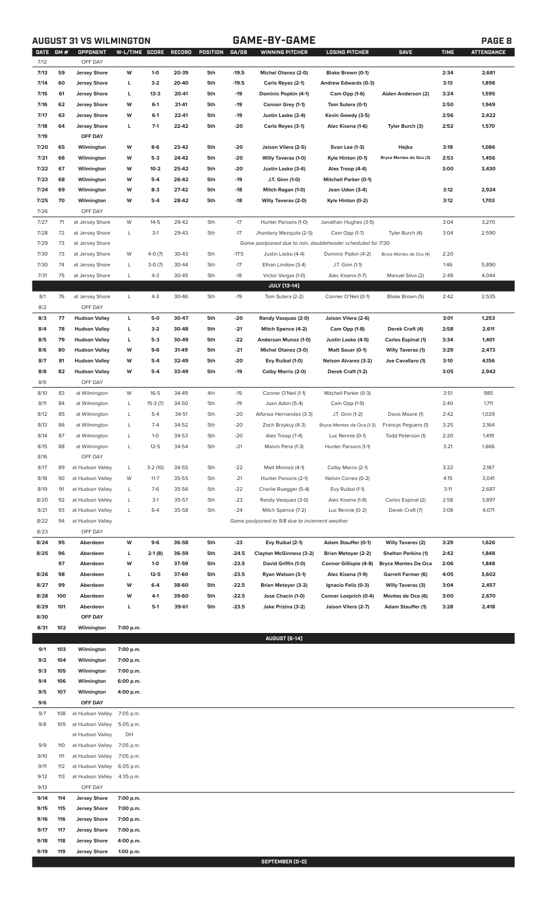**AUGUST 31 VS WILMINGTON GAME-BY-GAME PAGE 8**

| <b>DATE</b> | GM# | OPPONENT             | W-L/TIME SCORE |           | <b>RECORD</b> | POSITION | GA/GB   | <b>WINNING PITCHER</b>                                      | <b>LOSING PITCHER</b>        | <b>SAVE</b>                | <b>TIME</b> | <b>ATTENDANCE</b> |
|-------------|-----|----------------------|----------------|-----------|---------------|----------|---------|-------------------------------------------------------------|------------------------------|----------------------------|-------------|-------------------|
| 7/12        |     | OFF DAY              |                |           |               |          |         |                                                             |                              |                            |             |                   |
| 7/13        | 59  | <b>Jersey Shore</b>  | W              | $1 - 0$   | 20-39         | 5th      | $-19.5$ | Michel Otanez (2-0)                                         | Blake Brown (0-1)            |                            | 2:34        | 2,681             |
| 7/14        | 60  | <b>Jersey Shore</b>  | г              | $3-2$     | 20-40         | 5th      | $-19.5$ | Carlo Reyes (2-1)                                           | Andrew Edwards (0-3)         |                            | 3:13        | 1,898             |
| 7/15        | 61  | <b>Jersey Shore</b>  | г              | $13-3$    | 20-41         | 5th      | $-19$   | Dominic Popkin (4-1)                                        | Cam Opp (1-6)                | Aiden Anderson (2)         | 3:24        | 1,595             |
| 7/16        | 62  | <b>Jersey Shore</b>  | W              | $6 - 1$   | 21-41         | 5th      | $-19$   | Connor Grey (1-1)                                           | Tom Sutera (0-1)             |                            | 2:50        | 1,949             |
| 7/17        | 63  | <b>Jersey Shore</b>  | W              | $6 - 1$   | 22-41         | 5th      | $-19$   | Justin Lasko (2-4)                                          | Kevin Gowdy (3-5)            |                            | 2:56        | 2,422             |
| 7/18        | 64  | <b>Jersey Shore</b>  | L              | $7-1$     | 22-42         | 5th      | $-20$   | Carlo Reyes (3-1)                                           | Alec Kisena (1-6)            | Tyler Burch (3)            | 2:52        | 1,570             |
|             |     |                      |                |           |               |          |         |                                                             |                              |                            |             |                   |
| 7/19        |     | OFF DAY              |                |           |               |          |         |                                                             |                              |                            |             |                   |
| 7/20        | 65  | Wilmington           | W              | 8-6       | 23-42         | 5th      | -20     | Jaison Vilera (2-5)                                         | Evan Lee (1-3)               | Hejka                      | 3:18        | 1,086             |
| 7/21        | 66  | Wilmington           | W              | $5-3$     | 24-42         | 5th      | -20     | <b>Willy Taveras (1-0)</b>                                  | Kyle Hinton (0-1)            | Bryce Montes de Oca (3)    | 2:53        | 1,456             |
| 7/22        | 67  | Wilmington           | W              | $10-2$    | 25-42         | 5th      | $-20$   | Justin Lasko (3-4)                                          | Alex Troop (4-4)             |                            | 3:00        | 3,430             |
| 7/23        | 68  | Wilmington           | W              | $5-4$     | 26-42         | 5th      | $-19$   | J.T. Ginn (1-0)                                             | <b>Mitchell Parker (0-1)</b> |                            |             |                   |
| 7/24        | 69  | Wilmington           | W              | $8-3$     | 27-42         | 5th      | $-18$   | Mitch Ragan (1-0)                                           | Joan Udon (3-4)              |                            | 3:12        | 2,924             |
| 7/25        | 70  | Wilmington           | W              | $5-4$     | 28-42         | 5th      | $-18$   | Willy Taveras (2-0)                                         | Kyle Hinton (0-2)            |                            | 3:12        | 1,703             |
| 7/26        |     | OFF DAY              |                |           |               |          |         |                                                             |                              |                            |             |                   |
| 7/27        | 71  | at Jersey Shore      | W              | $14 - 5$  | 29-42         | 5th      | $-17$   | Hunter Parsons (1-0)                                        | Jonathan Hughes (3-5)        |                            | 3:04        | 3,270             |
| 7/28        | 72  | at Jersey Shore      | L              | $3-1$     | 29-43         | 5th      | $-17$   | Jhordany Mezquita (2-5)                                     | Cam Opp (1-7)                | Tyler Burch (4)            | 3:04        | 2,590             |
|             | 73  |                      |                |           |               |          |         | Game postponed due to rain, doubleheader scheduled for 7/30 |                              |                            |             |                   |
| 7/29        |     | at Jersey Shore      |                |           |               |          |         |                                                             |                              |                            |             |                   |
| 7/30        | 73  | at Jersey Shore      | W              | $4-0(7)$  | 30-43         | 5th      | $-17.5$ | Justin Lasko (4-4)                                          | Dominic Pipkin (4-2)         | Bryce Montes de Oca (4)    | 2:20        |                   |
| 7/30        | 74  | at Jersey Shore      | L              | $3-0(7)$  | 30-44         | 5th      | $-17$   | Ethan Lindow (3-4)                                          | J.T. Ginn (1-1)              |                            | 1:46        | 5,890             |
| 7/31        | 75  | at Jersey Shore      | L              | $4 - 3$   | 30-45         | 5th      | $-18$   | Victor Vargas (1-0)                                         | Alec Kisena (1-7)            | Manuel Silva (2)           | 2:49        | 4,044             |
|             |     |                      |                |           |               |          |         | JULY [13-14]                                                |                              |                            |             |                   |
| 8/1         | 76  | at Jersey Shore      | L              | $4 - 3$   | 30-46         | 5th      | $-19$   | Tom Sutera (2-2)                                            | Conner O'Neil (0-1)          | Blake Brown (5)            | 2:42        | 2,535             |
| 8/2         |     | OFF DAY              |                |           |               |          |         |                                                             |                              |                            |             |                   |
| 8/3         | 77  | <b>Hudson Valley</b> | г              | $5-0$     | 30-47         | 5th      | -20     | Randy Vasquez (2-0)                                         | Jaison Vilera (2-6)          |                            | 3:01        | 1,253             |
| 8/4         | 78  | <b>Hudson Valley</b> | L              | $3-2$     | 30-48         | 5th      | $-21$   | Mitch Spence (4-2)                                          | Cam Opp (1-8)                | Derek Craft (4)            | 2:58        | 2,611             |
| 8/5         | 79  | <b>Hudson Valley</b> | г              | $5-3$     | 30-49         | 5th      | $-22$   | Anderson Munoz (1-0)                                        | Justin Lasko (4-5)           | <b>Carlos Espinal (1)</b>  | 3:34        | 1,401             |
|             |     |                      | W              |           |               |          |         | Michel Otanez (3-0)                                         |                              |                            |             |                   |
| 8/6         | 80  | <b>Hudson Valley</b> |                | $9-6$     | 31-49         | 5th      | $-21$   |                                                             | Matt Sauer (0-1)             | <b>Willy Taveras (1)</b>   | 3:29        | 2,473             |
| 8/7         | 81  | <b>Hudson Valley</b> | w              | $5-4$     | 32-49         | 5th      | $-20$   | Evy Ruibal (1-0)                                            | <b>Nelson Alvarez (3-2)</b>  | Joe Cavallaro (1)          | 3:10        | 4,156             |
| 8/8         | 82  | <b>Hudson Valley</b> | w              | $5-4$     | 33-49         | 5th      | $-19$   | Colby Morris (2-0)                                          | Derek Craft (1-2)            |                            | 3:05        | 2,942             |
| 8/9         |     | OFF DAY              |                |           |               |          |         |                                                             |                              |                            |             |                   |
| 8/10        | 83  | at Wilmington        | W              | $16 - 5$  | 34-49         | 4th      | $-19$   | Conner O'Neil (1-1)                                         | Mitchell Parker (0-3)        |                            | 3:51        | 985               |
| 8/11        | 84  | at Wilmington        | L              | $15-3(7)$ | 34-50         | 5th      | $-19$   | Joan Adon (5-4)                                             | Cam Opp (1-9)                |                            | 2:40        | 1,711             |
| 8/12        | 85  | at Wilmington        | L              | $5-4$     | 34-51         | 5th      | $-20$   | Alfonso Hernandez (3-3)                                     | J.T. Ginn (1-2)              | Davis Moore (1)            | 2:42        | 1,029             |
| 8/13        | 86  | at Wilmington        | L              | $7 - 4$   | 34-52         | 5th      | $-20$   | Zach Brzykcy (4-3)                                          | Bryce Montes de Oca (1-3)    | Francys Peguero (1)        | 3:25        | 2,164             |
| 8/14        | 87  | at Wilmington        | L              | $1-0$     | 34-53         | 5th      | $-20$   | Alex Troop (7-4)                                            | Luc Rennie (0-1)             | Todd Peterson (1)          | 2:20        | 1,419             |
| 8/15        | 88  | at Wilmington        |                | $12 - 5$  | 34-54         | 5th      | $-21$   | Malvin Pena (1-3)                                           | Hunter Parsons (1-1)         |                            | 3:21        | 1,666             |
|             |     |                      |                |           |               |          |         |                                                             |                              |                            |             |                   |
| 8/16        |     | OFF DAY              |                |           |               |          |         |                                                             |                              |                            |             |                   |
| 8/17        | 89  | at Hudson Valley     | L              | $3-2(10)$ | 34-55         | 5th      | $-22$   | Matt Minnick (4-1)                                          | Colby Morris (2-1)           |                            | 3:22        | 2,187             |
| 8/18        | 90  | at Hudson Valley     | W              | $11 - 7$  | 35-55         | 5th      | $-21$   | Hunter Parsons (2-1)                                        | Nelvin Correa (0-2)          |                            | 4:15        | 3,041             |
| 8/19        | 91  | at Hudson Valley     | L              | $7-6$     | 35-56         | 5th      | $-22$   | Charlie Ruegger (5-4)                                       | Evy Ruibal (1-1)             |                            | 3:11        | 2,687             |
| 8/20        | 92  | at Hudson Valley     | L              | $3-1$     | 35-57         | 5th      | $-23$   | Randy Vasquez (3-0)                                         | Alec Kisena (1-8)            | Carlos Espinal (2)         | 2:58        | 3,897             |
| 8/21        | 93  | at Hudson Valley     | L              | $6 - 4$   | 35-58         | 5th      | $-24$   | Mitch Spence (7-2)                                          | Luc Rennie (0-2)             | Derek Craft (7)            | 3:08        | 4,071             |
| 8/22        | 94  | at Hudson Valley     |                |           |               |          |         | Game postponed to 9/8 due to inclement weather              |                              |                            |             |                   |
| 8/23        |     | OFF DAY              |                |           |               |          |         |                                                             |                              |                            |             |                   |
| 8/24        | 95  | Aberdeen             | W              | $9-6$     | 36-58         | 5th      | $-23$   | Evy Ruibal (2-1)                                            | Adam Stauffer (0-1)          | <b>Willy Tavares (2)</b>   | 3:29        | 1,626             |
| 8/25        | 96  | Aberdeen             |                |           |               | 5th      | -24.5   |                                                             | Brian Metoyer (2-2)          |                            | 2:42        | 1,848             |
|             |     |                      | L              | 2-1 (8)   | 36-59         |          |         | <b>Clayton McGinness (3-2)</b>                              |                              | <b>Shelton Perkins (1)</b> |             |                   |
|             | 97  | Aberdeen             | W              | $1-0$     | 37-59         | 5th      | $-23.5$ | David Griffin (1-0)                                         | Connor Gillispie (4-8)       | <b>Bryce Montes De Oca</b> | 2:06        | 1,848             |
| 8/26        | 98  | Aberdeen             | г              | $12 - 5$  | 37-60         | 5th      | $-23.5$ | Ryan Watson (3-1)                                           | Alec Kisena (1-9)            | Garrett Farmer (6)         | 4:05        | 3,602             |
| 8/27        | 99  | Aberdeen             | W              | $6-4$     | 38-60         | 5th      | $-22.5$ | Brian Metoyer (3-2)                                         | Ignacio Feliz (0-3)          | <b>Willy Taveras (3)</b>   | 3:04        | 2,457             |
| 8/28        | 100 | Aberdeen             | W              | 4-1       | 39-60         | 5th      | $-22.5$ | Jose Chacin (1-0)                                           | Conner Loeprich (0-4)        | Montes de Oca (6)          | 3:00        | 2,670             |
| 8/29        | 101 | Aberdeen             | L              | $5-1$     | 39-61         | 5th      | -23.5   | Jake Prizina (3-2)                                          | Jaison Vilera (2-7)          | <b>Adam Stauffer (1)</b>   | 3:28        | 2,418             |
| 8/30        |     | OFF DAY              |                |           |               |          |         |                                                             |                              |                            |             |                   |
| 8/31        | 102 | Wilmington           | 7:00 p.m.      |           |               |          |         |                                                             |                              |                            |             |                   |
|             |     |                      |                |           |               |          |         | AUGUST [6-14]                                               |                              |                            |             |                   |
| 9/1         | 103 | Wilmington           | 7:00 p.m.      |           |               |          |         |                                                             |                              |                            |             |                   |
| 9/2         | 104 | Wilmington           | 7:00 p.m.      |           |               |          |         |                                                             |                              |                            |             |                   |
| 9/3         | 105 | Wilmington           | 7:00 p.m.      |           |               |          |         |                                                             |                              |                            |             |                   |
|             |     |                      |                |           |               |          |         |                                                             |                              |                            |             |                   |
| 9/4         | 106 | Wilmington           | 6:00 p.m.      |           |               |          |         |                                                             |                              |                            |             |                   |
| 9/5         | 107 | Wilmington           | 4:00 p.m.      |           |               |          |         |                                                             |                              |                            |             |                   |
| 9/6         |     | OFF DAY              |                |           |               |          |         |                                                             |                              |                            |             |                   |
| 9/7         | 108 | at Hudson Valley     | 7:05 p.m.      |           |               |          |         |                                                             |                              |                            |             |                   |
| 9/8         | 109 | at Hudson Valley     | 5:05 p.m.      |           |               |          |         |                                                             |                              |                            |             |                   |
|             |     | at Hudson Valley     | DH             |           |               |          |         |                                                             |                              |                            |             |                   |
| 9/9         | 110 | at Hudson Valley     | 7:05 p.m.      |           |               |          |         |                                                             |                              |                            |             |                   |
| 9/10        | 111 | at Hudson Valley     | 7:05 p.m.      |           |               |          |         |                                                             |                              |                            |             |                   |
| 9/11        | 112 | at Hudson Valley     | 6:05 p.m.      |           |               |          |         |                                                             |                              |                            |             |                   |
| 9/12        | 113 | at Hudson Valley     | 4:35 p.m.      |           |               |          |         |                                                             |                              |                            |             |                   |
| 9/13        |     | OFF DAY              |                |           |               |          |         |                                                             |                              |                            |             |                   |
|             |     |                      |                |           |               |          |         |                                                             |                              |                            |             |                   |
| 9/14        | 114 | <b>Jersey Shore</b>  | 7:00 p.m.      |           |               |          |         |                                                             |                              |                            |             |                   |
| 9/15        | 115 | <b>Jersey Shore</b>  | 7:00 p.m.      |           |               |          |         |                                                             |                              |                            |             |                   |
| 9/16        | 116 | <b>Jersey Shore</b>  | 7:00 p.m.      |           |               |          |         |                                                             |                              |                            |             |                   |
| 9/17        | 117 | <b>Jersey Shore</b>  | 7:00 p.m.      |           |               |          |         |                                                             |                              |                            |             |                   |
| 9/18        | 118 | <b>Jersey Shore</b>  | 4:00 p.m.      |           |               |          |         |                                                             |                              |                            |             |                   |
| 9/19        | 119 | <b>Jersey Shore</b>  | 1:00 p.m.      |           |               |          |         |                                                             |                              |                            |             |                   |

**SEPTEMBER (0-0)**